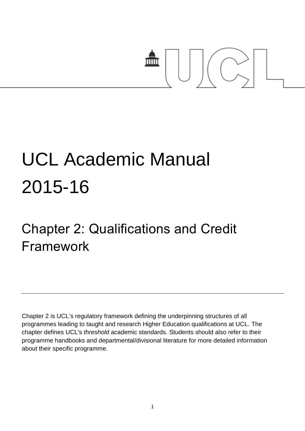# mm

# UCL Academic Manual 2015-16

# Chapter 2: Qualifications and Credit Framework

Chapter 2 is UCL's regulatory framework defining the underpinning structures of all programmes leading to taught and research Higher Education qualifications at UCL. The chapter defines UCL's *threshold* academic standards. Students should also refer to their programme handbooks and departmental/divisional literature for more detailed information about their specific programme.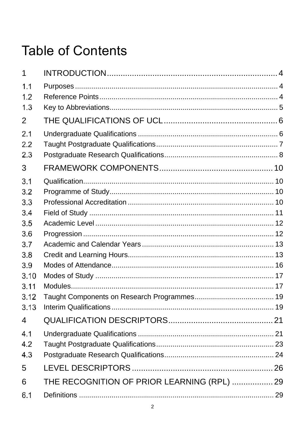## **Table of Contents**

| 1                                                                                   |                                             |  |
|-------------------------------------------------------------------------------------|---------------------------------------------|--|
| 1.1<br>1.2<br>1.3                                                                   |                                             |  |
| $\overline{2}$                                                                      |                                             |  |
| 2.1<br>2.2<br>2.3                                                                   |                                             |  |
| 3                                                                                   |                                             |  |
| 3.1<br>3.2<br>3.3<br>3.4<br>3.5<br>3.6<br>3.7<br>3.8<br>3.9<br>3.10<br>3.11<br>3.12 |                                             |  |
| 3.13                                                                                |                                             |  |
| 4                                                                                   |                                             |  |
| 4.1<br>4.2<br>4.3                                                                   |                                             |  |
| 5                                                                                   |                                             |  |
| 6                                                                                   | THE RECOGNITION OF PRIOR LEARNING (RPL)  29 |  |
| 6.1                                                                                 |                                             |  |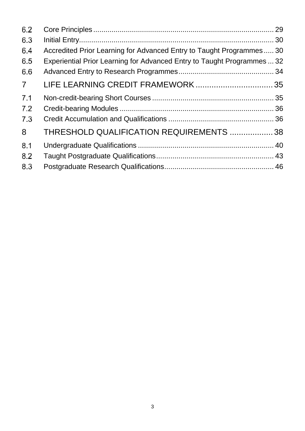| 6.2            |                                                                         |  |
|----------------|-------------------------------------------------------------------------|--|
| 6.3            |                                                                         |  |
| 6.4            | Accredited Prior Learning for Advanced Entry to Taught Programmes 30    |  |
| 6.5            | Experiential Prior Learning for Advanced Entry to Taught Programmes  32 |  |
| 6.6            |                                                                         |  |
| $\overline{7}$ |                                                                         |  |
| 7.1            |                                                                         |  |
| 7.2            |                                                                         |  |
| 7.3            |                                                                         |  |
| 8              | THRESHOLD QUALIFICATION REQUIREMENTS  38                                |  |
| 8.1            |                                                                         |  |
| 8.2            |                                                                         |  |
| 8.3            |                                                                         |  |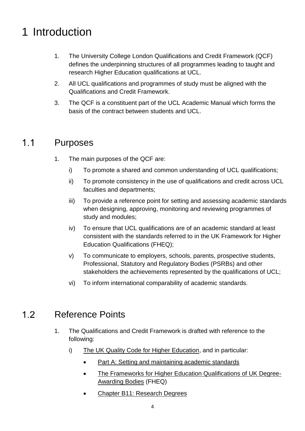### <span id="page-3-0"></span>1 Introduction

- 1. The University College London Qualifications and Credit Framework (QCF) defines the underpinning structures of all programmes leading to taught and research Higher Education qualifications at UCL.
- 2. All UCL qualifications and programmes of study must be aligned with the Qualifications and Credit Framework.
- 3. The QCF is a constituent part of the UCL Academic Manual which forms the basis of the contract between students and UCL.

#### <span id="page-3-1"></span> $1.1$ Purposes

- 1. The main purposes of the QCF are:
	- i) To promote a shared and common understanding of UCL qualifications;
	- ii) To promote consistency in the use of qualifications and credit across UCL faculties and departments;
	- iii) To provide a reference point for setting and assessing academic standards when designing, approving, monitoring and reviewing programmes of study and modules;
	- iv) To ensure that UCL qualifications are of an academic standard at least consistent with the standards referred to in the UK Framework for Higher Education Qualifications (FHEQ);
	- v) To communicate to employers, schools, parents, prospective students, Professional, Statutory and Regulatory Bodies (PSRBs) and other stakeholders the achievements represented by the qualifications of UCL;
	- vi) To inform international comparability of academic standards.

#### <span id="page-3-2"></span>Reference Points  $1.2$

- 1. The Qualifications and Credit Framework is drafted with reference to the following:
	- i) [The UK Quality Code for Higher Education,](http://www.qaa.ac.uk/assuring-standards-and-quality/the-quality-code) and in particular:
		- [Part A: Setting and maintaining academic standards](http://www.qaa.ac.uk/publications/information-and-guidance/publication?PubID=182)
		- [The Frameworks for Higher Education Qualifications of UK Degree-](http://www.qaa.ac.uk/en/Publications/Documents/qualifications-frameworks.pdf)[Awarding Bodies](http://www.qaa.ac.uk/en/Publications/Documents/qualifications-frameworks.pdf) (FHEQ)
		- Chapter B11: [Research](file:///C:/Users/ucycecv/Downloads/Chapter%20B11-%20Research%20Degrees.pdf) Degrees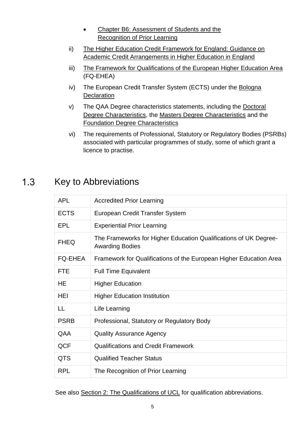- Chapter B6: [Assessment](file:///C:/Users/ucycecv/Downloads/Chapter%20B6-%20Assessment%20of%20Students%20and%20the%20Recognition%20of%20Prior%20Learning.pdf) of Students and the [Recognition](file:///C:/Users/ucycecv/Downloads/Chapter%20B6-%20Assessment%20of%20Students%20and%20the%20Recognition%20of%20Prior%20Learning.pdf) of Prior Learning
- ii) [The Higher Education Credit Framework for England: Guidance on](http://www.qaa.ac.uk/en/publications/documents/academic-credit-framework.pdf)  [Academic Credit Arrangements in Higher Education in England](http://www.qaa.ac.uk/en/publications/documents/academic-credit-framework.pdf)
- iii) [The Framework for Qualifications of the European Higher Education Area](file://adm.ucl.ac.uk/urep1/as_share/Acad%20Reg%20Review/Academic%20Regulations%20Review/Papers%20to%20EdCom/A%20Framework%20for%20Qualifications%20of%20the%20European%20Higher%20Education%20Area%20(FQ-EHEA)%20(PDF)) (FQ-EHEA)
- iv) The European Credit Transfer System (ECTS) under the [Bologna](http://ec.europa.eu/education/policy/higher-education/bologna-process_en.htm)  **[Declaration](http://ec.europa.eu/education/policy/higher-education/bologna-process_en.htm)**
- v) The QAA Degree characteristics statements, including the [Doctoral](http://www.qaa.ac.uk/publications/information-and-guidance/publication/?PubID=2870)  [Degree Characteristics,](http://www.qaa.ac.uk/publications/information-and-guidance/publication/?PubID=2870) the [Masters Degree Characteristics](http://www.qaa.ac.uk/publications/information-and-guidance/publication/?PubID=2869) and the [Foundation Degree Characteristics](http://www.qaa.ac.uk/publications/information-and-guidance/publication/?PubID=2868)
- vi) The requirements of Professional, Statutory or Regulatory Bodies (PSRBs) associated with particular programmes of study, some of which grant a licence to practise.

#### <span id="page-4-0"></span> $1.3$ Key to Abbreviations

| <b>APL</b>     | <b>Accredited Prior Learning</b>                                                           |
|----------------|--------------------------------------------------------------------------------------------|
| <b>ECTS</b>    | European Credit Transfer System                                                            |
| <b>EPL</b>     | <b>Experiential Prior Learning</b>                                                         |
| <b>FHEQ</b>    | The Frameworks for Higher Education Qualifications of UK Degree-<br><b>Awarding Bodies</b> |
| <b>FQ-EHEA</b> | Framework for Qualifications of the European Higher Education Area                         |
| <b>FTE</b>     | <b>Full Time Equivalent</b>                                                                |
| HE             | <b>Higher Education</b>                                                                    |
| HEI            | <b>Higher Education Institution</b>                                                        |
| LL             | Life Learning                                                                              |
| <b>PSRB</b>    | Professional, Statutory or Regulatory Body                                                 |
| QAA            | <b>Quality Assurance Agency</b>                                                            |
| QCF            | <b>Qualifications and Credit Framework</b>                                                 |
| <b>QTS</b>     | <b>Qualified Teacher Status</b>                                                            |
| <b>RPL</b>     | The Recognition of Prior Learning                                                          |

See also [Section 2: The Qualifications of UCL](#page-5-2) for qualification abbreviations.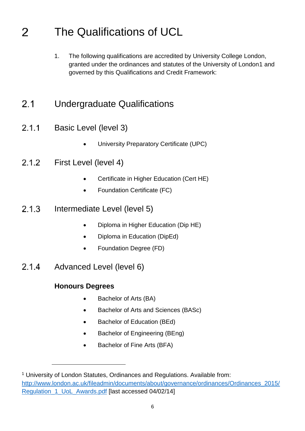#### <span id="page-5-2"></span><span id="page-5-0"></span>The Qualifications of UCL 2

1. The following qualifications are accredited by University College London, granted under the ordinances and statutes of the University of London1 and governed by this Qualifications and Credit Framework:

#### <span id="page-5-1"></span> $2.1$ Undergraduate Qualifications

- Basic Level (level 3)  $2.1.1$ 
	- University Preparatory Certificate (UPC)
- $2.1.2$ First Level (level 4)
	- Certificate in Higher Education (Cert HE)
	- Foundation Certificate (FC)
- Intermediate Level (level 5)  $2.1.3$ 
	- Diploma in Higher Education (Dip HE)
	- Diploma in Education (DipEd)
	- Foundation Degree (FD)
- Advanced Level (level 6)  $2.1.4$

#### **Honours Degrees**

l

- Bachelor of Arts (BA)
- Bachelor of Arts and Sciences (BASc)
- Bachelor of Education (BEd)
- Bachelor of Engineering (BEng)
- Bachelor of Fine Arts (BFA)

<sup>1</sup> University of London Statutes, Ordinances and Regulations. Available from: [http://www.london.ac.uk/fileadmin/documents/about/governance/ordinances/Ordinances\\_2015/](http://www.london.ac.uk/fileadmin/documents/about/governance/ordinances/Ordinances_2015/Regulation_1_UoL_Awards.pdf) [Regulation\\_1\\_UoL\\_Awards.pdf](http://www.london.ac.uk/fileadmin/documents/about/governance/ordinances/Ordinances_2015/Regulation_1_UoL_Awards.pdf) [last accessed 04/02/14]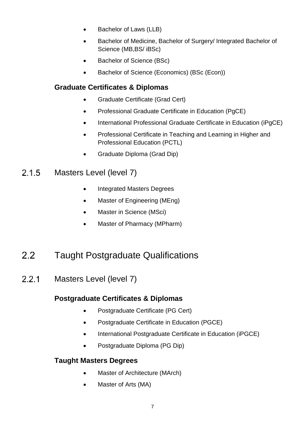- Bachelor of Laws (LLB)
- Bachelor of Medicine, Bachelor of Surgery/ Integrated Bachelor of Science (MB,BS/ iBSc)
- Bachelor of Science (BSc)
- Bachelor of Science (Economics) (BSc (Econ))

#### **Graduate Certificates & Diplomas**

- Graduate Certificate (Grad Cert)
- Professional Graduate Certificate in Education (PgCE)
- International Professional Graduate Certificate in Education (iPgCE)
- Professional Certificate in Teaching and Learning in Higher and Professional Education (PCTL)
- Graduate Diploma (Grad Dip)

#### Masters Level (level 7)  $2.1.5$

- Integrated Masters Degrees
- Master of Engineering (MEng)
- Master in Science (MSci)
- Master of Pharmacy (MPharm)

#### <span id="page-6-0"></span> $2.2$ Taught Postgraduate Qualifications

 $2.2.1$ Masters Level (level 7)

#### **Postgraduate Certificates & Diplomas**

- Postgraduate Certificate (PG Cert)
- Postgraduate Certificate in Education (PGCE)
- International Postgraduate Certificate in Education (iPGCE)
- Postgraduate Diploma (PG Dip)

#### **Taught Masters Degrees**

- Master of Architecture (MArch)
- Master of Arts (MA)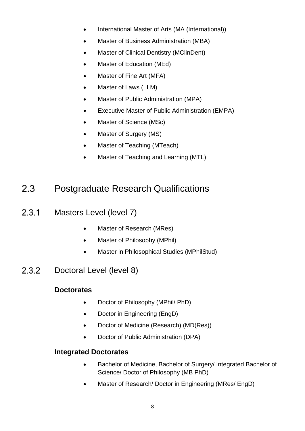- International Master of Arts (MA (International))
- Master of Business Administration (MBA)
- Master of Clinical Dentistry (MClinDent)
- Master of Education (MEd)
- Master of Fine Art (MFA)
- Master of Laws (LLM)
- Master of Public Administration (MPA)
- Executive Master of Public Administration (EMPA)
- Master of Science (MSc)
- Master of Surgery (MS)
- Master of Teaching (MTeach)
- Master of Teaching and Learning (MTL)

#### <span id="page-7-0"></span> $2.3$ Postgraduate Research Qualifications

- $2.3.1$ Masters Level (level 7)
	- Master of Research (MRes)
	- Master of Philosophy (MPhil)
	- Master in Philosophical Studies (MPhilStud)
- Doctoral Level (level 8)  $2.3.2$

#### **Doctorates**

- Doctor of Philosophy (MPhil/ PhD)
- Doctor in Engineering (EngD)
- Doctor of Medicine (Research) (MD(Res))
- Doctor of Public Administration (DPA)

#### **Integrated Doctorates**

- Bachelor of Medicine, Bachelor of Surgery/ Integrated Bachelor of Science/ Doctor of Philosophy (MB PhD)
- Master of Research/ Doctor in Engineering (MRes/ EngD)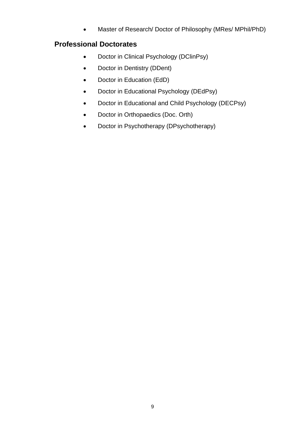Master of Research/ Doctor of Philosophy (MRes/ MPhil/PhD)

#### **Professional Doctorates**

- Doctor in Clinical Psychology (DClinPsy)
- Doctor in Dentistry (DDent)
- Doctor in Education (EdD)
- Doctor in Educational Psychology (DEdPsy)
- Doctor in Educational and Child Psychology (DECPsy)
- Doctor in Orthopaedics (Doc. Orth)
- Doctor in Psychotherapy (DPsychotherapy)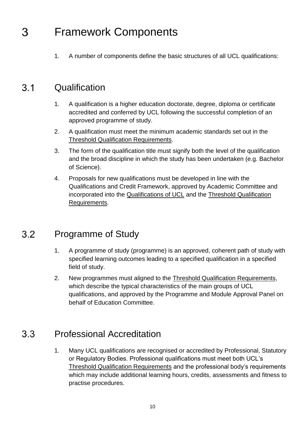#### <span id="page-9-0"></span>Framework Components 3

1. A number of components define the basic structures of all UCL qualifications:

#### <span id="page-9-1"></span> $3.1$ **Qualification**

- 1. A qualification is a higher education doctorate, degree, diploma or certificate accredited and conferred by UCL following the successful completion of an approved programme of study.
- 2. A qualification must meet the minimum academic standards set out in the [Threshold Qualification Requirements.](#page-37-1)
- 3. The form of the qualification title must signify both the level of the qualification and the broad discipline in which the study has been undertaken (e.g. Bachelor of Science).
- 4. Proposals for new qualifications must be developed in line with the Qualifications and Credit Framework, approved by Academic Committee and incorporated into the [Qualifications of UCL](#page-5-2) and the [Threshold Qualification](#page-37-1)  [Requirements.](#page-37-1)

#### <span id="page-9-2"></span>Programme of Study  $3.2$

- 1. A programme of study (programme) is an approved, coherent path of study with specified learning outcomes leading to a specified qualification in a specified field of study.
- 2. New programmes must aligned to the [Threshold Qualification Requirements,](#page-37-1) which describe the typical characteristics of the main groups of UCL qualifications, and approved by the Programme and Module Approval Panel on behalf of Education Committee.

#### <span id="page-9-3"></span> $3.3<sub>1</sub>$ Professional Accreditation

1. Many UCL qualifications are recognised or accredited by Professional, Statutory or Regulatory Bodies. Professional qualifications must meet both UCL's [Threshold Qualification Requirements](#page-37-1) and the professional body's requirements which may include additional learning hours, credits, assessments and fitness to practise procedures.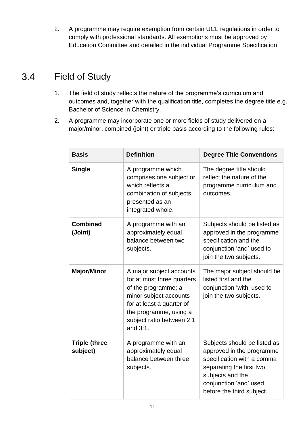2. A programme may require exemption from certain UCL regulations in order to comply with professional standards. All exemptions must be approved by Education Committee and detailed in the individual Programme Specification.

#### <span id="page-10-0"></span> $3.4$ Field of Study

- 1. The field of study reflects the nature of the programme's curriculum and outcomes and, together with the qualification title, completes the degree title e.g. Bachelor of Science in Chemistry.
- 2. A programme may incorporate one or more fields of study delivered on a major/minor, combined (joint) or triple basis according to the following rules:

| <b>Basis</b>                     | <b>Definition</b>                                                                                                                                                                                       | <b>Degree Title Conventions</b>                                                                                                                                                                |
|----------------------------------|---------------------------------------------------------------------------------------------------------------------------------------------------------------------------------------------------------|------------------------------------------------------------------------------------------------------------------------------------------------------------------------------------------------|
| <b>Single</b>                    | A programme which<br>comprises one subject or<br>which reflects a<br>combination of subjects<br>presented as an<br>integrated whole.                                                                    | The degree title should<br>reflect the nature of the<br>programme curriculum and<br>outcomes.                                                                                                  |
| <b>Combined</b><br>(Joint)       | A programme with an<br>approximately equal<br>balance between two<br>subjects.                                                                                                                          | Subjects should be listed as<br>approved in the programme<br>specification and the<br>conjunction 'and' used to<br>join the two subjects.                                                      |
| <b>Major/Minor</b>               | A major subject accounts<br>for at most three quarters<br>of the programme; a<br>minor subject accounts<br>for at least a quarter of<br>the programme, using a<br>subject ratio between 2:1<br>and 3:1. | The major subject should be<br>listed first and the<br>conjunction 'with' used to<br>join the two subjects.                                                                                    |
| <b>Triple (three</b><br>subject) | A programme with an<br>approximately equal<br>balance between three<br>subjects.                                                                                                                        | Subjects should be listed as<br>approved in the programme<br>specification with a comma<br>separating the first two<br>subjects and the<br>conjunction 'and' used<br>before the third subject. |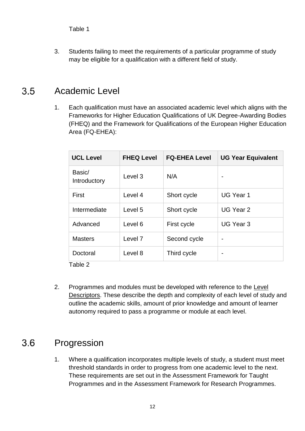3. Students failing to meet the requirements of a particular programme of study may be eligible for a qualification with a different field of study.

#### <span id="page-11-0"></span> $3.5$ Academic Level

1. Each qualification must have an associated academic level which aligns with the Frameworks for Higher Education Qualifications of UK Degree-Awarding Bodies (FHEQ) and the Framework for Qualifications of the European Higher Education Area (FQ-EHEA):

| <b>UCL Level</b>       | <b>FHEQ Level</b>  | <b>FQ-EHEA Level</b> | <b>UG Year Equivalent</b> |
|------------------------|--------------------|----------------------|---------------------------|
| Basic/<br>Introductory | Level 3            | N/A                  | $\overline{\phantom{0}}$  |
| First                  | Level 4            | Short cycle          | <b>UG Year 1</b>          |
| Intermediate           | Level 5            | Short cycle          | UG Year 2                 |
| Advanced               | Level 6            | First cycle          | UG Year 3                 |
| <b>Masters</b>         | Level <sub>7</sub> | Second cycle         |                           |
| Doctoral               | Level 8            | Third cycle          |                           |

Table 2

2. Programmes and modules must be developed with reference to the Level Descriptors. These describe the depth and complexity of each level of study and outline the academic skills, amount of prior knowledge and amount of learner autonomy required to pass a programme or module at each level.

#### <span id="page-11-1"></span> $3.6$ Progression

1. Where a qualification incorporates multiple levels of study, a student must meet threshold standards in order to progress from one academic level to the next. These requirements are set out in the Assessment Framework for Taught Programmes and in the Assessment Framework for Research Programmes.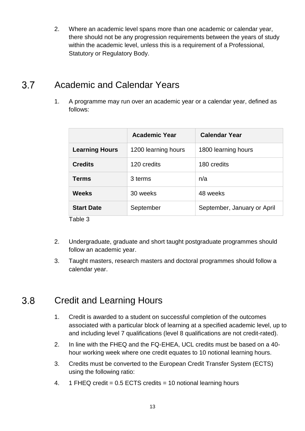2. Where an academic level spans more than one academic or calendar year, there should not be any progression requirements between the years of study within the academic level, unless this is a requirement of a Professional, Statutory or Regulatory Body.

#### <span id="page-12-0"></span> $3.7$ Academic and Calendar Years

1. A programme may run over an academic year or a calendar year, defined as follows:

|                       | <b>Academic Year</b> | <b>Calendar Year</b>        |
|-----------------------|----------------------|-----------------------------|
| <b>Learning Hours</b> | 1200 learning hours  | 1800 learning hours         |
| <b>Credits</b>        | 120 credits          | 180 credits                 |
| <b>Terms</b>          | 3 terms              | n/a                         |
| <b>Weeks</b>          | 30 weeks             | 48 weeks                    |
| <b>Start Date</b>     | September            | September, January or April |
| Table 3               |                      |                             |

- 2. Undergraduate, graduate and short taught postgraduate programmes should follow an academic year.
- 3. Taught masters, research masters and doctoral programmes should follow a calendar year.

#### <span id="page-12-1"></span> $3.8$ Credit and Learning Hours

- 1. Credit is awarded to a student on successful completion of the outcomes associated with a particular block of learning at a specified academic level, up to and including level 7 qualifications (level 8 qualifications are not credit-rated).
- 2. In line with the FHEQ and the FQ-EHEA, UCL credits must be based on a 40 hour working week where one credit equates to 10 notional learning hours.
- 3. Credits must be converted to the European Credit Transfer System (ECTS) using the following ratio:
- 4. 1 FHEQ credit = 0.5 ECTS credits = 10 notional learning hours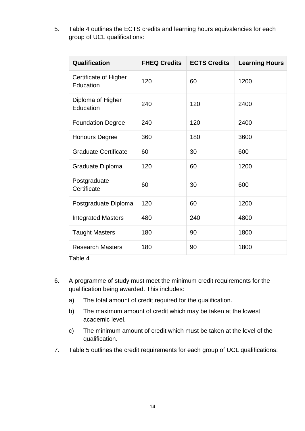5. Table 4 outlines the ECTS credits and learning hours equivalencies for each group of UCL qualifications:

| Qualification                      | <b>FHEQ Credits</b> | <b>ECTS Credits</b> | <b>Learning Hours</b> |
|------------------------------------|---------------------|---------------------|-----------------------|
| Certificate of Higher<br>Education | 120                 | 60                  | 1200                  |
| Diploma of Higher<br>Education     | 240                 | 120                 | 2400                  |
| <b>Foundation Degree</b>           | 240                 | 120                 | 2400                  |
| <b>Honours Degree</b>              | 360                 | 180                 | 3600                  |
| <b>Graduate Certificate</b>        | 60                  | 30                  | 600                   |
| Graduate Diploma                   | 120                 | 60                  | 1200                  |
| Postgraduate<br>Certificate        | 60                  | 30                  | 600                   |
| Postgraduate Diploma               | 120                 | 60                  | 1200                  |
| <b>Integrated Masters</b>          | 480                 | 240                 | 4800                  |
| <b>Taught Masters</b>              | 180                 | 90                  | 1800                  |
| <b>Research Masters</b>            | 180                 | 90                  | 1800                  |

Table 4

- 6. A programme of study must meet the minimum credit requirements for the qualification being awarded. This includes:
	- a) The total amount of credit required for the qualification.
	- b) The maximum amount of credit which may be taken at the lowest academic level.
	- c) The minimum amount of credit which must be taken at the level of the qualification.
- 7. Table 5 outlines the credit requirements for each group of UCL qualifications: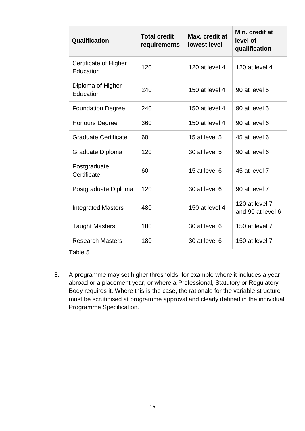| Qualification                      | <b>Total credit</b><br>requirements | Max. credit at<br><b>lowest level</b> | Min. credit at<br>level of<br>qualification |
|------------------------------------|-------------------------------------|---------------------------------------|---------------------------------------------|
| Certificate of Higher<br>Education | 120                                 | 120 at level 4                        | 120 at level 4                              |
| Diploma of Higher<br>Education     | 240                                 | 150 at level 4                        | 90 at level 5                               |
| <b>Foundation Degree</b>           | 240                                 | 150 at level 4                        | 90 at level 5                               |
| <b>Honours Degree</b>              | 360                                 | 150 at level 4                        | 90 at level 6                               |
| <b>Graduate Certificate</b>        | 60                                  | 15 at level 5                         | 45 at level 6                               |
| Graduate Diploma                   | 120                                 | 30 at level 5                         | 90 at level 6                               |
| Postgraduate<br>Certificate        | 60                                  | 15 at level 6                         | 45 at level 7                               |
| Postgraduate Diploma               | 120                                 | 30 at level 6                         | 90 at level 7                               |
| <b>Integrated Masters</b>          | 480                                 | 150 at level 4                        | 120 at level 7<br>and 90 at level 6         |
| <b>Taught Masters</b>              | 180                                 | 30 at level 6                         | 150 at level 7                              |
| <b>Research Masters</b>            | 180                                 | 30 at level 6                         | 150 at level 7                              |

8. A programme may set higher thresholds, for example where it includes a year abroad or a placement year, or where a Professional, Statutory or Regulatory Body requires it. Where this is the case, the rationale for the variable structure must be scrutinised at programme approval and clearly defined in the individual Programme Specification.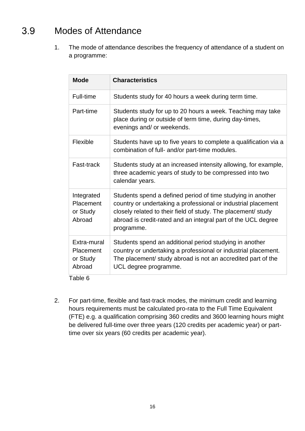#### <span id="page-15-0"></span>Modes of Attendance  $3.9$

1. The mode of attendance describes the frequency of attendance of a student on a programme:

| <b>Mode</b>                                           | <b>Characteristics</b>                                                                                                                                                                                                                                                       |
|-------------------------------------------------------|------------------------------------------------------------------------------------------------------------------------------------------------------------------------------------------------------------------------------------------------------------------------------|
| Full-time                                             | Students study for 40 hours a week during term time.                                                                                                                                                                                                                         |
| Part-time                                             | Students study for up to 20 hours a week. Teaching may take<br>place during or outside of term time, during day-times,<br>evenings and/ or weekends.                                                                                                                         |
| Flexible                                              | Students have up to five years to complete a qualification via a<br>combination of full- and/or part-time modules.                                                                                                                                                           |
| Fast-track                                            | Students study at an increased intensity allowing, for example,<br>three academic years of study to be compressed into two<br>calendar years.                                                                                                                                |
| Integrated<br>Placement<br>or Study<br>Abroad         | Students spend a defined period of time studying in another<br>country or undertaking a professional or industrial placement<br>closely related to their field of study. The placement/ study<br>abroad is credit-rated and an integral part of the UCL degree<br>programme. |
| Extra-mural<br><b>Placement</b><br>or Study<br>Abroad | Students spend an additional period studying in another<br>country or undertaking a professional or industrial placement.<br>The placement/ study abroad is not an accredited part of the<br>UCL degree programme.                                                           |

Table 6

2. For part-time, flexible and fast-track modes, the minimum credit and learning hours requirements must be calculated pro-rata to the Full Time Equivalent (FTE) e.g. a qualification comprising 360 credits and 3600 learning hours might be delivered full-time over three years (120 credits per academic year) or parttime over six years (60 credits per academic year).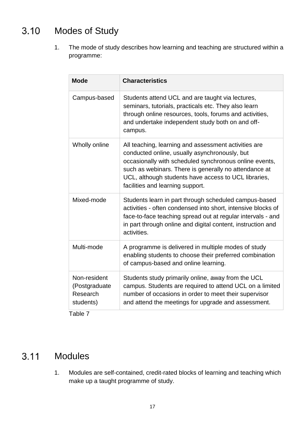#### <span id="page-16-0"></span>Modes of Study  $3.10$

1. The mode of study describes how learning and teaching are structured within a programme:

| <b>Mode</b>                                                              | <b>Characteristics</b>                                                                                                                                                                                                                                                                                               |
|--------------------------------------------------------------------------|----------------------------------------------------------------------------------------------------------------------------------------------------------------------------------------------------------------------------------------------------------------------------------------------------------------------|
| Campus-based                                                             | Students attend UCL and are taught via lectures,<br>seminars, tutorials, practicals etc. They also learn<br>through online resources, tools, forums and activities,<br>and undertake independent study both on and off-<br>campus.                                                                                   |
| Wholly online                                                            | All teaching, learning and assessment activities are<br>conducted online, usually asynchronously, but<br>occasionally with scheduled synchronous online events,<br>such as webinars. There is generally no attendance at<br>UCL, although students have access to UCL libraries,<br>facilities and learning support. |
| Mixed-mode                                                               | Students learn in part through scheduled campus-based<br>activities - often condensed into short, intensive blocks of<br>face-to-face teaching spread out at regular intervals - and<br>in part through online and digital content, instruction and<br>activities.                                                   |
| Multi-mode                                                               | A programme is delivered in multiple modes of study<br>enabling students to choose their preferred combination<br>of campus-based and online learning.                                                                                                                                                               |
| Non-resident<br>(Postgraduate<br>Research<br>students)<br>- <del>-</del> | Students study primarily online, away from the UCL<br>campus. Students are required to attend UCL on a limited<br>number of occasions in order to meet their supervisor<br>and attend the meetings for upgrade and assessment.                                                                                       |

Table 7

#### <span id="page-16-1"></span> $3.11$ Modules

1. Modules are self-contained, credit-rated blocks of learning and teaching which make up a taught programme of study.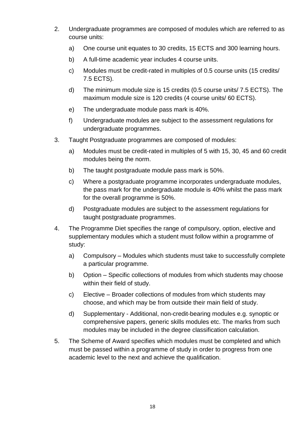- 2. Undergraduate programmes are composed of modules which are referred to as course units:
	- a) One course unit equates to 30 credits, 15 ECTS and 300 learning hours.
	- b) A full-time academic year includes 4 course units.
	- c) Modules must be credit-rated in multiples of 0.5 course units (15 credits/ 7.5 ECTS).
	- d) The minimum module size is 15 credits (0.5 course units/ 7.5 ECTS). The maximum module size is 120 credits (4 course units/ 60 ECTS).
	- e) The undergraduate module pass mark is 40%.
	- f) Undergraduate modules are subject to the assessment regulations for undergraduate programmes.
- 3. Taught Postgraduate programmes are composed of modules:
	- a) Modules must be credit-rated in multiples of 5 with 15, 30, 45 and 60 credit modules being the norm.
	- b) The taught postgraduate module pass mark is 50%.
	- c) Where a postgraduate programme incorporates undergraduate modules, the pass mark for the undergraduate module is 40% whilst the pass mark for the overall programme is 50%.
	- d) Postgraduate modules are subject to the assessment regulations for taught postgraduate programmes.
- 4. The Programme Diet specifies the range of compulsory, option, elective and supplementary modules which a student must follow within a programme of study:
	- a) Compulsory Modules which students must take to successfully complete a particular programme.
	- b) Option Specific collections of modules from which students may choose within their field of study.
	- c) Elective Broader collections of modules from which students may choose, and which may be from outside their main field of study.
	- d) Supplementary Additional, non-credit-bearing modules e.g. synoptic or comprehensive papers, generic skills modules etc. The marks from such modules may be included in the degree classification calculation.
- 5. The Scheme of Award specifies which modules must be completed and which must be passed within a programme of study in order to progress from one academic level to the next and achieve the qualification.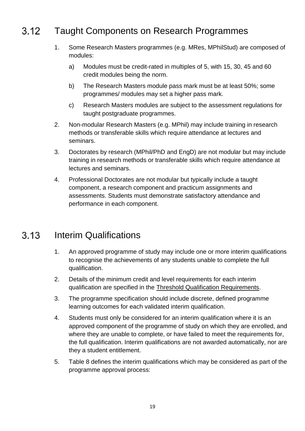#### <span id="page-18-0"></span> $3.12$ Taught Components on Research Programmes

- 1. Some Research Masters programmes (e.g. MRes, MPhilStud) are composed of modules:
	- a) Modules must be credit-rated in multiples of 5, with 15, 30, 45 and 60 credit modules being the norm.
	- b) The Research Masters module pass mark must be at least 50%; some programmes/ modules may set a higher pass mark.
	- c) Research Masters modules are subject to the assessment regulations for taught postgraduate programmes.
- 2. Non-modular Research Masters (e.g. MPhil) may include training in research methods or transferable skills which require attendance at lectures and seminars.
- 3. Doctorates by research (MPhil/PhD and EngD) are not modular but may include training in research methods or transferable skills which require attendance at lectures and seminars.
- 4. Professional Doctorates are not modular but typically include a taught component, a research component and practicum assignments and assessments. Students must demonstrate satisfactory attendance and performance in each component.

#### <span id="page-18-1"></span> $3.13$ Interim Qualifications

- 1. An approved programme of study may include one or more interim qualifications to recognise the achievements of any students unable to complete the full qualification.
- 2. Details of the minimum credit and level requirements for each interim qualification are specified in the [Threshold Qualification Requirements.](#page-37-1)
- 3. The programme specification should include discrete, defined programme learning outcomes for each validated interim qualification.
- 4. Students must only be considered for an interim qualification where it is an approved component of the programme of study on which they are enrolled, and where they are unable to complete, or have failed to meet the requirements for, the full qualification. Interim qualifications are not awarded automatically, nor are they a student entitlement.
- 5. Table 8 defines the interim qualifications which may be considered as part of the programme approval process: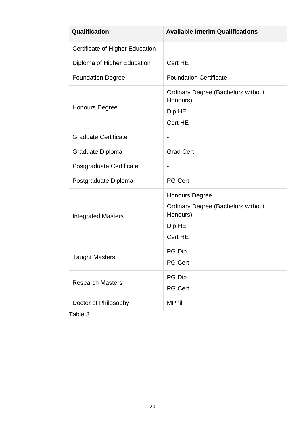| Qualification                   | <b>Available Interim Qualifications</b>                                                             |  |
|---------------------------------|-----------------------------------------------------------------------------------------------------|--|
| Certificate of Higher Education |                                                                                                     |  |
| Diploma of Higher Education     | Cert HE                                                                                             |  |
| <b>Foundation Degree</b>        | <b>Foundation Certificate</b>                                                                       |  |
| <b>Honours Degree</b>           | <b>Ordinary Degree (Bachelors without</b><br>Honours)<br>Dip HE<br>Cert HE                          |  |
| <b>Graduate Certificate</b>     |                                                                                                     |  |
| Graduate Diploma                | <b>Grad Cert</b>                                                                                    |  |
| Postgraduate Certificate        |                                                                                                     |  |
| Postgraduate Diploma            | <b>PG Cert</b>                                                                                      |  |
| <b>Integrated Masters</b>       | <b>Honours Degree</b><br><b>Ordinary Degree (Bachelors without</b><br>Honours)<br>Dip HE<br>Cert HE |  |
| <b>Taught Masters</b>           | PG Dip<br><b>PG Cert</b>                                                                            |  |
| <b>Research Masters</b>         | PG Dip<br><b>PG Cert</b>                                                                            |  |
| Doctor of Philosophy            | <b>MPhil</b>                                                                                        |  |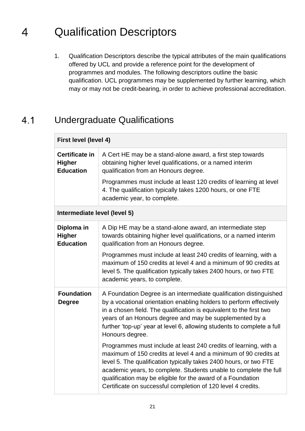#### <span id="page-20-0"></span>Qualification Descriptors 4

1. Qualification Descriptors describe the typical attributes of the main qualifications offered by UCL and provide a reference point for the development of programmes and modules. The following descriptors outline the basic qualification. UCL programmes may be supplemented by further learning, which may or may not be credit-bearing, in order to achieve professional accreditation.

#### <span id="page-20-1"></span> $4.1$ Undergraduate Qualifications

| First level (level 4)                                      |                                                                                                                                                                                                                                                                                                                                                                                                               |  |
|------------------------------------------------------------|---------------------------------------------------------------------------------------------------------------------------------------------------------------------------------------------------------------------------------------------------------------------------------------------------------------------------------------------------------------------------------------------------------------|--|
| <b>Certificate in</b><br><b>Higher</b><br><b>Education</b> | A Cert HE may be a stand-alone award, a first step towards<br>obtaining higher level qualifications, or a named interim<br>qualification from an Honours degree.                                                                                                                                                                                                                                              |  |
|                                                            | Programmes must include at least 120 credits of learning at level<br>4. The qualification typically takes 1200 hours, or one FTE<br>academic year, to complete.                                                                                                                                                                                                                                               |  |
| Intermediate level (level 5)                               |                                                                                                                                                                                                                                                                                                                                                                                                               |  |
| Diploma in<br><b>Higher</b><br><b>Education</b>            | A Dip HE may be a stand-alone award, an intermediate step<br>towards obtaining higher level qualifications, or a named interim<br>qualification from an Honours degree.                                                                                                                                                                                                                                       |  |
|                                                            | Programmes must include at least 240 credits of learning, with a<br>maximum of 150 credits at level 4 and a minimum of 90 credits at<br>level 5. The qualification typically takes 2400 hours, or two FTE<br>academic years, to complete.                                                                                                                                                                     |  |
| <b>Foundation</b><br><b>Degree</b>                         | A Foundation Degree is an intermediate qualification distinguished<br>by a vocational orientation enabling holders to perform effectively<br>in a chosen field. The qualification is equivalent to the first two<br>years of an Honours degree and may be supplemented by a<br>further 'top-up' year at level 6, allowing students to complete a full<br>Honours degree.                                      |  |
|                                                            | Programmes must include at least 240 credits of learning, with a<br>maximum of 150 credits at level 4 and a minimum of 90 credits at<br>level 5. The qualification typically takes 2400 hours, or two FTE<br>academic years, to complete. Students unable to complete the full<br>qualification may be eligible for the award of a Foundation<br>Certificate on successful completion of 120 level 4 credits. |  |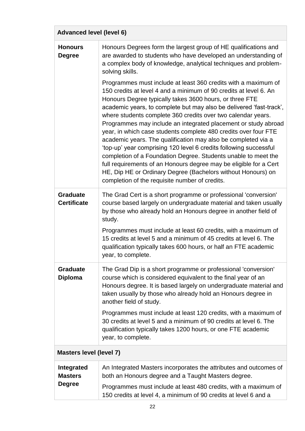| <b>Advanced level (level 6)</b>                      |                                                                                                                                                                                                                                                                                                                                                                                                                                                                                                                                                                                                                                                                                                                                                                                                                                                                           |  |  |  |  |  |  |
|------------------------------------------------------|---------------------------------------------------------------------------------------------------------------------------------------------------------------------------------------------------------------------------------------------------------------------------------------------------------------------------------------------------------------------------------------------------------------------------------------------------------------------------------------------------------------------------------------------------------------------------------------------------------------------------------------------------------------------------------------------------------------------------------------------------------------------------------------------------------------------------------------------------------------------------|--|--|--|--|--|--|
| <b>Honours</b><br><b>Degree</b>                      | Honours Degrees form the largest group of HE qualifications and<br>are awarded to students who have developed an understanding of<br>a complex body of knowledge, analytical techniques and problem-<br>solving skills.                                                                                                                                                                                                                                                                                                                                                                                                                                                                                                                                                                                                                                                   |  |  |  |  |  |  |
|                                                      | Programmes must include at least 360 credits with a maximum of<br>150 credits at level 4 and a minimum of 90 credits at level 6. An<br>Honours Degree typically takes 3600 hours, or three FTE<br>academic years, to complete but may also be delivered 'fast-track',<br>where students complete 360 credits over two calendar years.<br>Programmes may include an integrated placement or study abroad<br>year, in which case students complete 480 credits over four FTE<br>academic years. The qualification may also be completed via a<br>'top-up' year comprising 120 level 6 credits following successful<br>completion of a Foundation Degree. Students unable to meet the<br>full requirements of an Honours degree may be eligible for a Cert<br>HE, Dip HE or Ordinary Degree (Bachelors without Honours) on<br>completion of the requisite number of credits. |  |  |  |  |  |  |
| <b>Graduate</b><br><b>Certificate</b>                | The Grad Cert is a short programme or professional 'conversion'<br>course based largely on undergraduate material and taken usually<br>by those who already hold an Honours degree in another field of<br>study.<br>Programmes must include at least 60 credits, with a maximum of<br>15 credits at level 5 and a minimum of 45 credits at level 6. The<br>qualification typically takes 600 hours, or half an FTE academic<br>year, to complete.                                                                                                                                                                                                                                                                                                                                                                                                                         |  |  |  |  |  |  |
| <b>Graduate</b><br><b>Diploma</b>                    | The Grad Dip is a short programme or professional 'conversion'<br>course which is considered equivalent to the final year of an<br>Honours degree. It is based largely on undergraduate material and<br>taken usually by those who already hold an Honours degree in<br>another field of study.<br>Programmes must include at least 120 credits, with a maximum of<br>30 credits at level 5 and a minimum of 90 credits at level 6. The<br>qualification typically takes 1200 hours, or one FTE academic                                                                                                                                                                                                                                                                                                                                                                  |  |  |  |  |  |  |
|                                                      | year, to complete.                                                                                                                                                                                                                                                                                                                                                                                                                                                                                                                                                                                                                                                                                                                                                                                                                                                        |  |  |  |  |  |  |
| <b>Masters level (level 7)</b>                       |                                                                                                                                                                                                                                                                                                                                                                                                                                                                                                                                                                                                                                                                                                                                                                                                                                                                           |  |  |  |  |  |  |
| <b>Integrated</b><br><b>Masters</b><br><b>Degree</b> | An Integrated Masters incorporates the attributes and outcomes of<br>both an Honours degree and a Taught Masters degree.                                                                                                                                                                                                                                                                                                                                                                                                                                                                                                                                                                                                                                                                                                                                                  |  |  |  |  |  |  |
|                                                      | Programmes must include at least 480 credits, with a maximum of<br>150 credits at level 4, a minimum of 90 credits at level 6 and a                                                                                                                                                                                                                                                                                                                                                                                                                                                                                                                                                                                                                                                                                                                                       |  |  |  |  |  |  |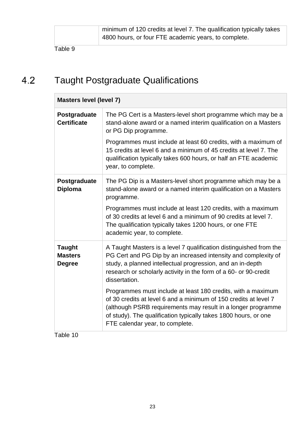#### <span id="page-22-0"></span> $4.2$ Taught Postgraduate Qualifications

| <b>Masters level (level 7)</b>                                                                                                                                                                                                                                                                         |  |  |  |  |  |  |  |
|--------------------------------------------------------------------------------------------------------------------------------------------------------------------------------------------------------------------------------------------------------------------------------------------------------|--|--|--|--|--|--|--|
| The PG Cert is a Masters-level short programme which may be a<br>stand-alone award or a named interim qualification on a Masters<br>or PG Dip programme.                                                                                                                                               |  |  |  |  |  |  |  |
| Programmes must include at least 60 credits, with a maximum of<br>15 credits at level 6 and a minimum of 45 credits at level 7. The<br>qualification typically takes 600 hours, or half an FTE academic<br>year, to complete.                                                                          |  |  |  |  |  |  |  |
| The PG Dip is a Masters-level short programme which may be a<br>stand-alone award or a named interim qualification on a Masters<br>programme.                                                                                                                                                          |  |  |  |  |  |  |  |
| Programmes must include at least 120 credits, with a maximum<br>of 30 credits at level 6 and a minimum of 90 credits at level 7.<br>The qualification typically takes 1200 hours, or one FTE<br>academic year, to complete.                                                                            |  |  |  |  |  |  |  |
| A Taught Masters is a level 7 qualification distinguished from the<br>PG Cert and PG Dip by an increased intensity and complexity of<br>study, a planned intellectual progression, and an in-depth<br>research or scholarly activity in the form of a 60- or 90-credit<br>dissertation.                |  |  |  |  |  |  |  |
| Programmes must include at least 180 credits, with a maximum<br>of 30 credits at level 6 and a minimum of 150 credits at level 7<br>(although PSRB requirements may result in a longer programme<br>of study). The qualification typically takes 1800 hours, or one<br>FTE calendar year, to complete. |  |  |  |  |  |  |  |
|                                                                                                                                                                                                                                                                                                        |  |  |  |  |  |  |  |

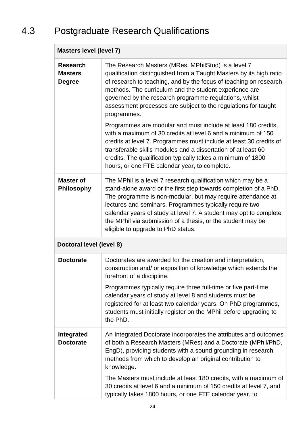#### <span id="page-23-0"></span>Postgraduate Research Qualifications  $4.3$

| <b>Masters level (level 7)</b>                     |                                                                                                                                                                                                                                                                                                                                                                                                                                      |  |  |  |  |  |  |
|----------------------------------------------------|--------------------------------------------------------------------------------------------------------------------------------------------------------------------------------------------------------------------------------------------------------------------------------------------------------------------------------------------------------------------------------------------------------------------------------------|--|--|--|--|--|--|
| <b>Research</b><br><b>Masters</b><br><b>Degree</b> | The Research Masters (MRes, MPhilStud) is a level 7<br>qualification distinguished from a Taught Masters by its high ratio<br>of research to teaching, and by the focus of teaching on research<br>methods. The curriculum and the student experience are<br>governed by the research programme regulations, whilst<br>assessment processes are subject to the regulations for taught<br>programmes.                                 |  |  |  |  |  |  |
|                                                    | Programmes are modular and must include at least 180 credits,<br>with a maximum of 30 credits at level 6 and a minimum of 150<br>credits at level 7. Programmes must include at least 30 credits of<br>transferable skills modules and a dissertation of at least 60<br>credits. The qualification typically takes a minimum of 1800<br>hours, or one FTE calendar year, to complete.                                                |  |  |  |  |  |  |
| <b>Master of</b><br><b>Philosophy</b>              | The MPhil is a level 7 research qualification which may be a<br>stand-alone award or the first step towards completion of a PhD.<br>The programme is non-modular, but may require attendance at<br>lectures and seminars. Programmes typically require two<br>calendar years of study at level 7. A student may opt to complete<br>the MPhil via submission of a thesis, or the student may be<br>eligible to upgrade to PhD status. |  |  |  |  |  |  |
| Doctoral level (level 8)                           |                                                                                                                                                                                                                                                                                                                                                                                                                                      |  |  |  |  |  |  |
| <b>Doctorate</b>                                   | Doctorates are awarded for the creation and interpretation,<br>construction and/ or exposition of knowledge which extends the<br>forefront of a discipline.                                                                                                                                                                                                                                                                          |  |  |  |  |  |  |
|                                                    | Programmes typically require three full-time or five part-time<br>calendar years of study at level 8 and students must be<br>registered for at least two calendar years. On PhD programmes,<br>students must initially register on the MPhil before upgrading to<br>the PhD.                                                                                                                                                         |  |  |  |  |  |  |
| Integrated<br><b>Doctorate</b>                     | An Integrated Doctorate incorporates the attributes and outcomes<br>of both a Research Masters (MRes) and a Doctorate (MPhil/PhD,<br>EngD), providing students with a sound grounding in research<br>methods from which to develop an original contribution to<br>knowledge.                                                                                                                                                         |  |  |  |  |  |  |
|                                                    | The Masters must include at least 180 credits, with a maximum of<br>30 credits at level 6 and a minimum of 150 credits at level 7, and<br>typically takes 1800 hours, or one FTE calendar year, to                                                                                                                                                                                                                                   |  |  |  |  |  |  |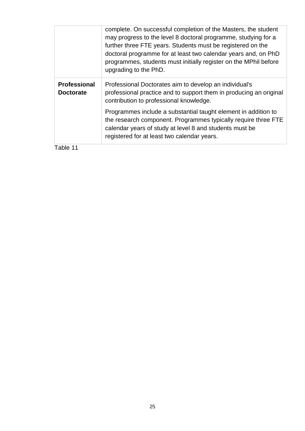|                                         | complete. On successful completion of the Masters, the student<br>may progress to the level 8 doctoral programme, studying for a<br>further three FTE years. Students must be registered on the<br>doctoral programme for at least two calendar years and, on PhD<br>programmes, students must initially register on the MPhil before<br>upgrading to the PhD. |
|-----------------------------------------|----------------------------------------------------------------------------------------------------------------------------------------------------------------------------------------------------------------------------------------------------------------------------------------------------------------------------------------------------------------|
| <b>Professional</b><br><b>Doctorate</b> | Professional Doctorates aim to develop an individual's<br>professional practice and to support them in producing an original<br>contribution to professional knowledge.                                                                                                                                                                                        |
|                                         | Programmes include a substantial taught element in addition to<br>the research component. Programmes typically require three FTE<br>calendar years of study at level 8 and students must be<br>registered for at least two calendar years.                                                                                                                     |
| Table 11                                |                                                                                                                                                                                                                                                                                                                                                                |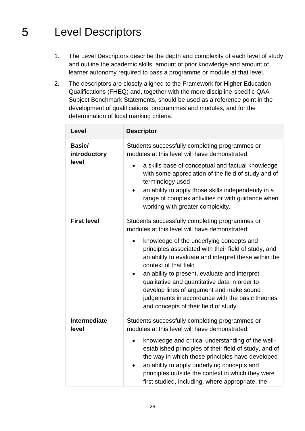#### <span id="page-25-0"></span>5 Level Descriptors

- 1. The Level Descriptors describe the depth and complexity of each level of study and outline the academic skills, amount of prior knowledge and amount of learner autonomy required to pass a programme or module at that level.
- 2. The descriptors are closely aligned to the Framework for Higher Education Qualifications (FHEQ) and, together with the more discipline-specific QAA Subject Benchmark Statements, should be used as a reference point in the development of qualifications, programmes and modules, and for the determination of local marking criteria.

| Level                                  | <b>Descriptor</b>                                                                                                                                                                                                                                                                                                                                                                                                                                                                                                                                          |  |  |  |  |  |  |  |
|----------------------------------------|------------------------------------------------------------------------------------------------------------------------------------------------------------------------------------------------------------------------------------------------------------------------------------------------------------------------------------------------------------------------------------------------------------------------------------------------------------------------------------------------------------------------------------------------------------|--|--|--|--|--|--|--|
| <b>Basic/</b><br>introductory<br>level | Students successfully completing programmes or<br>modules at this level will have demonstrated:<br>a skills base of conceptual and factual knowledge<br>with some appreciation of the field of study and of<br>terminology used<br>an ability to apply those skills independently in a<br>range of complex activities or with guidance when<br>working with greater complexity.                                                                                                                                                                            |  |  |  |  |  |  |  |
| <b>First level</b>                     | Students successfully completing programmes or<br>modules at this level will have demonstrated:<br>knowledge of the underlying concepts and<br>$\bullet$<br>principles associated with their field of study, and<br>an ability to evaluate and interpret these within the<br>context of that field<br>an ability to present, evaluate and interpret<br>$\bullet$<br>qualitative and quantitative data in order to<br>develop lines of argument and make sound<br>judgements in accordance with the basic theories<br>and concepts of their field of study. |  |  |  |  |  |  |  |
| <b>Intermediate</b><br>level           | Students successfully completing programmes or<br>modules at this level will have demonstrated:<br>knowledge and critical understanding of the well-<br>$\bullet$<br>established principles of their field of study, and of<br>the way in which those principles have developed<br>an ability to apply underlying concepts and<br>$\bullet$<br>principles outside the context in which they were<br>first studied, including, where appropriate, the                                                                                                       |  |  |  |  |  |  |  |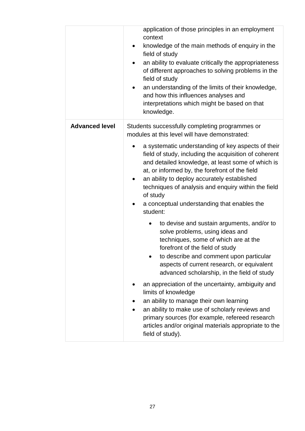|                       | application of those principles in an employment<br>context<br>knowledge of the main methods of enquiry in the<br>$\bullet$<br>field of study<br>an ability to evaluate critically the appropriateness<br>of different approaches to solving problems in the<br>field of study<br>an understanding of the limits of their knowledge,<br>٠<br>and how this influences analyses and<br>interpretations which might be based on that<br>knowledge. |  |  |  |  |  |  |  |  |
|-----------------------|-------------------------------------------------------------------------------------------------------------------------------------------------------------------------------------------------------------------------------------------------------------------------------------------------------------------------------------------------------------------------------------------------------------------------------------------------|--|--|--|--|--|--|--|--|
| <b>Advanced level</b> | Students successfully completing programmes or<br>modules at this level will have demonstrated:                                                                                                                                                                                                                                                                                                                                                 |  |  |  |  |  |  |  |  |
|                       | a systematic understanding of key aspects of their<br>field of study, including the acquisition of coherent<br>and detailed knowledge, at least some of which is<br>at, or informed by, the forefront of the field<br>an ability to deploy accurately established<br>techniques of analysis and enquiry within the field<br>of study<br>a conceptual understanding that enables the<br>student:                                                 |  |  |  |  |  |  |  |  |
|                       | to devise and sustain arguments, and/or to<br>$\bullet$<br>solve problems, using ideas and<br>techniques, some of which are at the<br>forefront of the field of study<br>to describe and comment upon particular<br>aspects of current research, or equivalent<br>advanced scholarship, in the field of study                                                                                                                                   |  |  |  |  |  |  |  |  |
|                       | an appreciation of the uncertainty, ambiguity and<br>limits of knowledge<br>an ability to manage their own learning<br>an ability to make use of scholarly reviews and<br>primary sources (for example, refereed research<br>articles and/or original materials appropriate to the<br>field of study).                                                                                                                                          |  |  |  |  |  |  |  |  |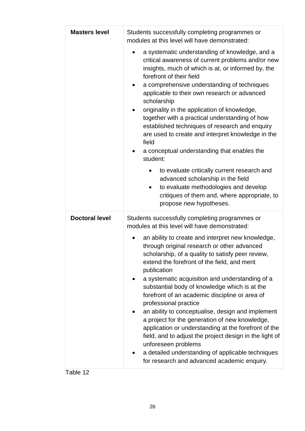| <b>Masters level</b>  | Students successfully completing programmes or<br>modules at this level will have demonstrated:                                                                                                                                                                                                                                                                                                                                                                                                                                                                                                                                                                                                                                                                                                                                                             |  |  |  |  |  |  |  |  |  |
|-----------------------|-------------------------------------------------------------------------------------------------------------------------------------------------------------------------------------------------------------------------------------------------------------------------------------------------------------------------------------------------------------------------------------------------------------------------------------------------------------------------------------------------------------------------------------------------------------------------------------------------------------------------------------------------------------------------------------------------------------------------------------------------------------------------------------------------------------------------------------------------------------|--|--|--|--|--|--|--|--|--|
|                       | a systematic understanding of knowledge, and a<br>critical awareness of current problems and/or new<br>insights, much of which is at, or informed by, the<br>forefront of their field<br>a comprehensive understanding of techniques<br>$\bullet$<br>applicable to their own research or advanced<br>scholarship<br>originality in the application of knowledge,<br>together with a practical understanding of how<br>established techniques of research and enquiry<br>are used to create and interpret knowledge in the<br>field<br>a conceptual understanding that enables the<br>student:                                                                                                                                                                                                                                                               |  |  |  |  |  |  |  |  |  |
|                       | to evaluate critically current research and<br>advanced scholarship in the field<br>to evaluate methodologies and develop<br>٠<br>critiques of them and, where appropriate, to<br>propose new hypotheses.                                                                                                                                                                                                                                                                                                                                                                                                                                                                                                                                                                                                                                                   |  |  |  |  |  |  |  |  |  |
| <b>Doctoral level</b> | Students successfully completing programmes or<br>modules at this level will have demonstrated:<br>an ability to create and interpret new knowledge,<br>through original research or other advanced<br>scholarship, of a quality to satisfy peer review.<br>extend the forefront of the field, and merit<br>publication<br>a systematic acquisition and understanding of a<br>substantial body of knowledge which is at the<br>forefront of an academic discipline or area of<br>professional practice<br>an ability to conceptualise, design and implement<br>a project for the generation of new knowledge,<br>application or understanding at the forefront of the<br>field, and to adjust the project design in the light of<br>unforeseen problems<br>a detailed understanding of applicable techniques<br>for research and advanced academic enquiry. |  |  |  |  |  |  |  |  |  |

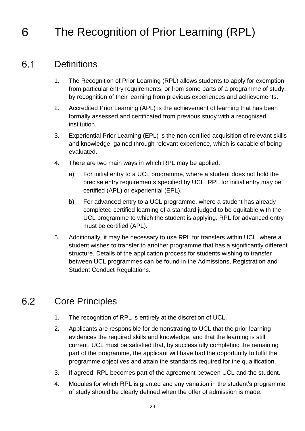#### <span id="page-28-0"></span>The Recognition of Prior Learning (RPL) 6

#### <span id="page-28-3"></span><span id="page-28-1"></span>**Definitions**  $6.1$

- 1. The Recognition of Prior Learning (RPL) allows students to apply for exemption from particular entry requirements, or from some parts of a programme of study, by recognition of their learning from previous experiences and achievements.
- 2. Accredited Prior Learning (APL) is the achievement of learning that has been formally assessed and certificated from previous study with a recognised institution.
- 3. Experiential Prior Learning (EPL) is the non-certified acquisition of relevant skills and knowledge, gained through relevant experience, which is capable of being evaluated.
- 4. There are two main ways in which RPL may be applied:
	- a) For initial entry to a UCL programme, where a student does not hold the precise entry requirements specified by UCL. RPL for initial entry may be certified (APL) or experiential (EPL).
	- b) For advanced entry to a UCL programme, where a student has already completed certified learning of a standard judged to be equitable with the UCL programme to which the student is applying. RPL for advanced entry must be certified (APL).
- 5. Additionally, it may be necessary to use RPL for transfers within UCL, where a student wishes to transfer to another programme that has a significantly different structure. Details of the application process for students wishing to transfer between UCL programmes can be found in the Admissions, Registration and Student Conduct Regulations.

#### <span id="page-28-2"></span> $6.2$ Core Principles

- 1. The recognition of RPL is entirely at the discretion of UCL.
- 2. Applicants are responsible for demonstrating to UCL that the prior learning evidences the required skills and knowledge, and that the learning is still current. UCL must be satisfied that, by successfully completing the remaining part of the programme, the applicant will have had the opportunity to fulfil the programme objectives and attain the standards required for the qualification.
- 3. If agreed, RPL becomes part of the agreement between UCL and the student.
- 4. Modules for which RPL is granted and any variation in the student's programme of study should be clearly defined when the offer of admission is made.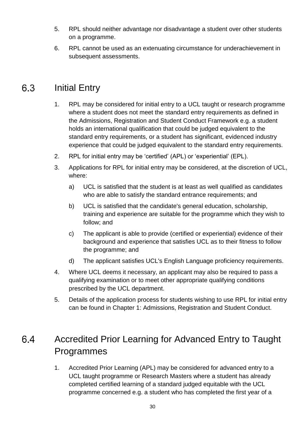- 5. RPL should neither advantage nor disadvantage a student over other students on a programme.
- 6. RPL cannot be used as an extenuating circumstance for underachievement in subsequent assessments.

#### <span id="page-29-0"></span>Initial Entry 6.3

- 1. RPL may be considered for initial entry to a UCL taught or research programme where a student does not meet the standard entry requirements as defined in the Admissions, Registration and Student Conduct Framework e.g. a student holds an international qualification that could be judged equivalent to the standard entry requirements, or a student has significant, evidenced industry experience that could be judged equivalent to the standard entry requirements.
- 2. RPL for initial entry may be 'certified' (APL) or 'experiential' (EPL).
- 3. Applications for RPL for initial entry may be considered, at the discretion of UCL, where:
	- a) UCL is satisfied that the student is at least as well qualified as candidates who are able to satisfy the standard entrance requirements; and
	- b) UCL is satisfied that the candidate's general education, scholarship, training and experience are suitable for the programme which they wish to follow; and
	- c) The applicant is able to provide (certified or experiential) evidence of their background and experience that satisfies UCL as to their fitness to follow the programme; and
	- d) The applicant satisfies UCL's English Language proficiency requirements.
- 4. Where UCL deems it necessary, an applicant may also be required to pass a qualifying examination or to meet other appropriate qualifying conditions prescribed by the UCL department.
- 5. Details of the application process for students wishing to use RPL for initial entry can be found in Chapter 1: Admissions, Registration and Student Conduct.

#### <span id="page-29-1"></span>6.4 Accredited Prior Learning for Advanced Entry to Taught Programmes

1. Accredited Prior Learning (APL) may be considered for advanced entry to a UCL taught programme or Research Masters where a student has already completed certified learning of a standard judged equitable with the UCL programme concerned e.g. a student who has completed the first year of a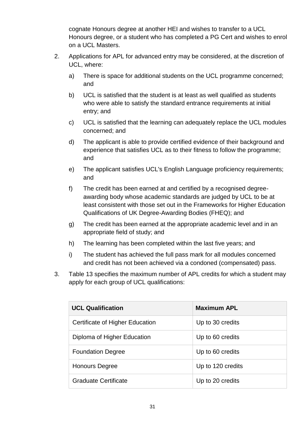cognate Honours degree at another HEI and wishes to transfer to a UCL Honours degree, or a student who has completed a PG Cert and wishes to enrol on a UCL Masters.

- 2. Applications for APL for advanced entry may be considered, at the discretion of UCL, where:
	- a) There is space for additional students on the UCL programme concerned; and
	- b) UCL is satisfied that the student is at least as well qualified as students who were able to satisfy the standard entrance requirements at initial entry; and
	- c) UCL is satisfied that the learning can adequately replace the UCL modules concerned; and
	- d) The applicant is able to provide certified evidence of their background and experience that satisfies UCL as to their fitness to follow the programme; and
	- e) The applicant satisfies UCL's English Language proficiency requirements; and
	- f) The credit has been earned at and certified by a recognised degreeawarding body whose academic standards are judged by UCL to be at least consistent with those set out in the Frameworks for Higher Education Qualifications of UK Degree-Awarding Bodies (FHEQ); and
	- g) The credit has been earned at the appropriate academic level and in an appropriate field of study; and
	- h) The learning has been completed within the last five years; and
	- i) The student has achieved the full pass mark for all modules concerned and credit has not been achieved via a condoned (compensated) pass.
- 3. Table 13 specifies the maximum number of APL credits for which a student may apply for each group of UCL qualifications:

| <b>UCL Qualification</b>        | <b>Maximum APL</b> |  |  |  |  |
|---------------------------------|--------------------|--|--|--|--|
| Certificate of Higher Education | Up to 30 credits   |  |  |  |  |
| Diploma of Higher Education     | Up to 60 credits   |  |  |  |  |
| <b>Foundation Degree</b>        | Up to 60 credits   |  |  |  |  |
| <b>Honours Degree</b>           | Up to 120 credits  |  |  |  |  |
| <b>Graduate Certificate</b>     | Up to 20 credits   |  |  |  |  |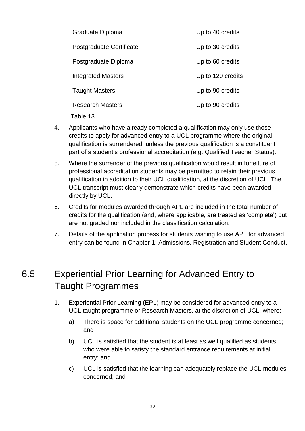| Graduate Diploma          | Up to 40 credits  |
|---------------------------|-------------------|
| Postgraduate Certificate  | Up to 30 credits  |
| Postgraduate Diploma      | Up to 60 credits  |
| <b>Integrated Masters</b> | Up to 120 credits |
| <b>Taught Masters</b>     | Up to 90 credits  |
| <b>Research Masters</b>   | Up to 90 credits  |

- 4. Applicants who have already completed a qualification may only use those credits to apply for advanced entry to a UCL programme where the original qualification is surrendered, unless the previous qualification is a constituent part of a student's professional accreditation (e.g. Qualified Teacher Status).
- 5. Where the surrender of the previous qualification would result in forfeiture of professional accreditation students may be permitted to retain their previous qualification in addition to their UCL qualification, at the discretion of UCL. The UCL transcript must clearly demonstrate which credits have been awarded directly by UCL.
- 6. Credits for modules awarded through APL are included in the total number of credits for the qualification (and, where applicable, are treated as 'complete') but are not graded nor included in the classification calculation.
- 7. Details of the application process for students wishing to use APL for advanced entry can be found in Chapter 1: Admissions, Registration and Student Conduct.

#### <span id="page-31-0"></span>6.5 Experiential Prior Learning for Advanced Entry to Taught Programmes

- 1. Experiential Prior Learning (EPL) may be considered for advanced entry to a UCL taught programme or Research Masters, at the discretion of UCL, where:
	- a) There is space for additional students on the UCL programme concerned; and
	- b) UCL is satisfied that the student is at least as well qualified as students who were able to satisfy the standard entrance requirements at initial entry; and
	- c) UCL is satisfied that the learning can adequately replace the UCL modules concerned; and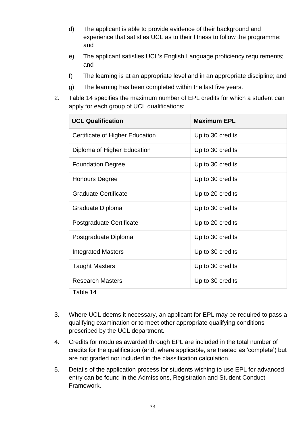- d) The applicant is able to provide evidence of their background and experience that satisfies UCL as to their fitness to follow the programme; and
- e) The applicant satisfies UCL's English Language proficiency requirements; and
- f) The learning is at an appropriate level and in an appropriate discipline; and
- g) The learning has been completed within the last five years.
- 2. Table 14 specifies the maximum number of EPL credits for which a student can apply for each group of UCL qualifications:

| <b>UCL Qualification</b>        | <b>Maximum EPL</b> |  |  |  |  |  |
|---------------------------------|--------------------|--|--|--|--|--|
| Certificate of Higher Education | Up to 30 credits   |  |  |  |  |  |
| Diploma of Higher Education     | Up to 30 credits   |  |  |  |  |  |
| <b>Foundation Degree</b>        | Up to 30 credits   |  |  |  |  |  |
| <b>Honours Degree</b>           | Up to 30 credits   |  |  |  |  |  |
| <b>Graduate Certificate</b>     | Up to 20 credits   |  |  |  |  |  |
| Graduate Diploma                | Up to 30 credits   |  |  |  |  |  |
| Postgraduate Certificate        | Up to 20 credits   |  |  |  |  |  |
| Postgraduate Diploma            | Up to 30 credits   |  |  |  |  |  |
| <b>Integrated Masters</b>       | Up to 30 credits   |  |  |  |  |  |
| <b>Taught Masters</b>           | Up to 30 credits   |  |  |  |  |  |
| <b>Research Masters</b>         | Up to 30 credits   |  |  |  |  |  |
|                                 |                    |  |  |  |  |  |

- 3. Where UCL deems it necessary, an applicant for EPL may be required to pass a qualifying examination or to meet other appropriate qualifying conditions prescribed by the UCL department.
- 4. Credits for modules awarded through EPL are included in the total number of credits for the qualification (and, where applicable, are treated as 'complete') but are not graded nor included in the classification calculation.
- 5. Details of the application process for students wishing to use EPL for advanced entry can be found in the Admissions, Registration and Student Conduct Framework.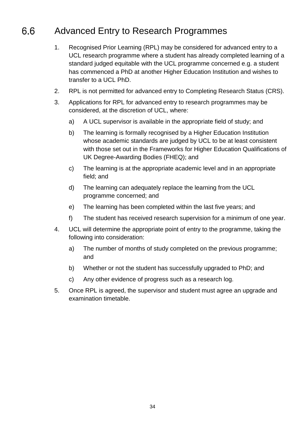#### <span id="page-33-0"></span>6.6 Advanced Entry to Research Programmes

- 1. Recognised Prior Learning (RPL) may be considered for advanced entry to a UCL research programme where a student has already completed learning of a standard judged equitable with the UCL programme concerned e.g. a student has commenced a PhD at another Higher Education Institution and wishes to transfer to a UCL PhD.
- 2. RPL is not permitted for advanced entry to Completing Research Status (CRS).
- 3. Applications for RPL for advanced entry to research programmes may be considered, at the discretion of UCL, where:
	- a) A UCL supervisor is available in the appropriate field of study; and
	- b) The learning is formally recognised by a Higher Education Institution whose academic standards are judged by UCL to be at least consistent with those set out in the Frameworks for Higher Education Qualifications of UK Degree-Awarding Bodies (FHEQ); and
	- c) The learning is at the appropriate academic level and in an appropriate field; and
	- d) The learning can adequately replace the learning from the UCL programme concerned; and
	- e) The learning has been completed within the last five years; and
	- f) The student has received research supervision for a minimum of one year.
- 4. UCL will determine the appropriate point of entry to the programme, taking the following into consideration:
	- a) The number of months of study completed on the previous programme; and
	- b) Whether or not the student has successfully upgraded to PhD; and
	- c) Any other evidence of progress such as a research log.
- 5. Once RPL is agreed, the supervisor and student must agree an upgrade and examination timetable.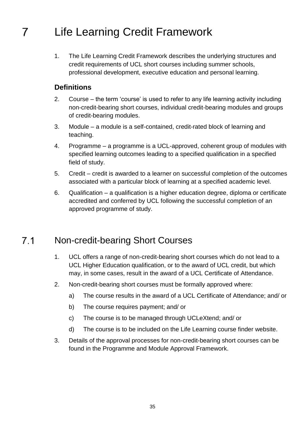#### <span id="page-34-0"></span>Life Learning Credit Framework 7

1. The Life Learning Credit Framework describes the underlying structures and credit requirements of UCL short courses including summer schools, professional development, executive education and personal learning.

#### **Definitions**

- 2. Course the term 'course' is used to refer to any life learning activity including non-credit-bearing short courses, individual credit-bearing modules and groups of credit-bearing modules.
- 3. Module a module is a self-contained, credit-rated block of learning and teaching.
- 4. Programme a programme is a UCL-approved, coherent group of modules with specified learning outcomes leading to a specified qualification in a specified field of study.
- 5. Credit credit is awarded to a learner on successful completion of the outcomes associated with a particular block of learning at a specified academic level.
- 6. Qualification a qualification is a higher education degree, diploma or certificate accredited and conferred by UCL following the successful completion of an approved programme of study.

#### <span id="page-34-1"></span> $7.1$ Non-credit-bearing Short Courses

- 1. UCL offers a range of non-credit-bearing short courses which do not lead to a UCL Higher Education qualification, or to the award of UCL credit, but which may, in some cases, result in the award of a UCL Certificate of Attendance.
- 2. Non-credit-bearing short courses must be formally approved where:
	- a) The course results in the award of a UCL Certificate of Attendance; and/ or
	- b) The course requires payment; and/ or
	- c) The course is to be managed through UCLeXtend; and/ or
	- d) The course is to be included on the Life Learning course finder website.
- 3. Details of the approval processes for non-credit-bearing short courses can be found in the Programme and Module Approval Framework.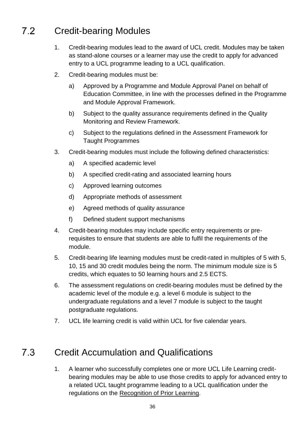#### <span id="page-35-0"></span> $7.2$ Credit-bearing Modules

- 1. Credit-bearing modules lead to the award of UCL credit. Modules may be taken as stand-alone courses or a learner may use the credit to apply for advanced entry to a UCL programme leading to a UCL qualification.
- 2. Credit-bearing modules must be:
	- a) Approved by a Programme and Module Approval Panel on behalf of Education Committee, in line with the processes defined in the Programme and Module Approval Framework.
	- b) Subject to the quality assurance requirements defined in the Quality Monitoring and Review Framework.
	- c) Subject to the regulations defined in the Assessment Framework for Taught Programmes
- 3. Credit-bearing modules must include the following defined characteristics:
	- a) A specified academic level
	- b) A specified credit-rating and associated learning hours
	- c) Approved learning outcomes
	- d) Appropriate methods of assessment
	- e) Agreed methods of quality assurance
	- f) Defined student support mechanisms
- 4. Credit-bearing modules may include specific entry requirements or prerequisites to ensure that students are able to fulfil the requirements of the module.
- 5. Credit-bearing life learning modules must be credit-rated in multiples of 5 with 5, 10, 15 and 30 credit modules being the norm. The minimum module size is 5 credits, which equates to 50 learning hours and 2.5 ECTS.
- 6. The assessment regulations on credit-bearing modules must be defined by the academic level of the module e.g. a level 6 module is subject to the undergraduate regulations and a level 7 module is subject to the taught postgraduate regulations.
- 7. UCL life learning credit is valid within UCL for five calendar years.

#### <span id="page-35-1"></span> $7.3$ Credit Accumulation and Qualifications

1. A learner who successfully completes one or more UCL Life Learning creditbearing modules may be able to use those credits to apply for advanced entry to a related UCL taught programme leading to a UCL qualification under the regulations on the [Recognition of Prior Learning.](#page-28-3)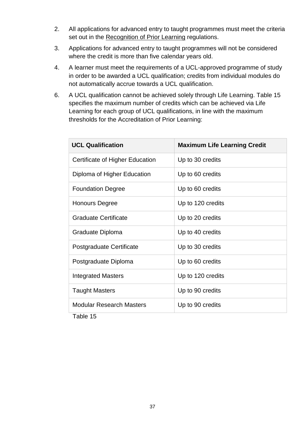- 2. All applications for advanced entry to taught programmes must meet the criteria set out in the [Recognition of Prior Learning](#page-28-3) regulations.
- 3. Applications for advanced entry to taught programmes will not be considered where the credit is more than five calendar years old.
- 4. A learner must meet the requirements of a UCL-approved programme of study in order to be awarded a UCL qualification; credits from individual modules do not automatically accrue towards a UCL qualification.
- 6. A UCL qualification cannot be achieved solely through Life Learning. Table 15 specifies the maximum number of credits which can be achieved via Life Learning for each group of UCL qualifications, in line with the maximum thresholds for the Accreditation of Prior Learning:

| <b>Maximum Life Learning Credit</b> |  |  |  |  |  |  |  |
|-------------------------------------|--|--|--|--|--|--|--|
| Up to 30 credits                    |  |  |  |  |  |  |  |
| Up to 60 credits                    |  |  |  |  |  |  |  |
| Up to 60 credits                    |  |  |  |  |  |  |  |
| Up to 120 credits                   |  |  |  |  |  |  |  |
| Up to 20 credits                    |  |  |  |  |  |  |  |
| Up to 40 credits                    |  |  |  |  |  |  |  |
| Up to 30 credits                    |  |  |  |  |  |  |  |
| Up to 60 credits                    |  |  |  |  |  |  |  |
| Up to 120 credits                   |  |  |  |  |  |  |  |
| Up to 90 credits                    |  |  |  |  |  |  |  |
| Up to 90 credits                    |  |  |  |  |  |  |  |
|                                     |  |  |  |  |  |  |  |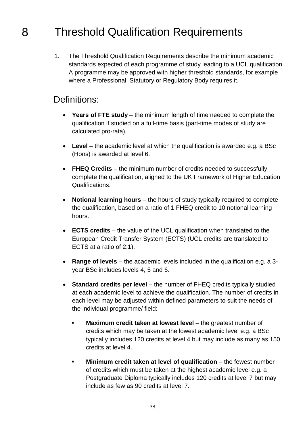#### <span id="page-37-1"></span><span id="page-37-0"></span>Threshold Qualification Requirements 8.

1. The Threshold Qualification Requirements describe the minimum academic standards expected of each programme of study leading to a UCL qualification. A programme may be approved with higher threshold standards, for example where a Professional, Statutory or Regulatory Body requires it.

#### Definitions:

- **Years of FTE study** the minimum length of time needed to complete the qualification if studied on a full-time basis (part-time modes of study are calculated pro-rata).
- **Level** the academic level at which the qualification is awarded e.g. a BSc (Hons) is awarded at level 6.
- **FHEQ Credits** the minimum number of credits needed to successfully complete the qualification, aligned to the UK Framework of Higher Education Qualifications.
- **Notional learning hours** the hours of study typically required to complete the qualification, based on a ratio of 1 FHEQ credit to 10 notional learning hours.
- **ECTS credits** the value of the UCL qualification when translated to the European Credit Transfer System (ECTS) (UCL credits are translated to ECTS at a ratio of 2:1).
- **Range of levels** the academic levels included in the qualification e.g. a 3 year BSc includes levels 4, 5 and 6.
- **Standard credits per level** the number of FHEQ credits typically studied at each academic level to achieve the qualification. The number of credits in each level may be adjusted within defined parameters to suit the needs of the individual programme/ field:
	- **Maximum credit taken at lowest level** the greatest number of credits which may be taken at the lowest academic level e.g. a BSc typically includes 120 credits at level 4 but may include as many as 150 credits at level 4.
	- **Minimum credit taken at level of qualification** the fewest number of credits which must be taken at the highest academic level e.g. a Postgraduate Diploma typically includes 120 credits at level 7 but may include as few as 90 credits at level 7.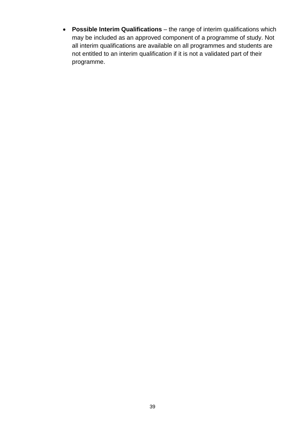**Possible Interim Qualifications** – the range of interim qualifications which may be included as an approved component of a programme of study. Not all interim qualifications are available on all programmes and students are not entitled to an interim qualification if it is not a validated part of their programme.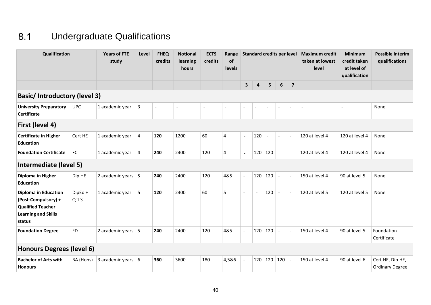#### $8.1$ Undergraduate Qualifications

<span id="page-39-0"></span>

| Qualification                                                                                                          |                        | <b>Years of FTE</b><br>study     | Level | <b>FHEQ</b><br>credits   | <b>Notional</b><br>learning<br>hours | <b>ECTS</b><br>credits | Range<br>of<br>levels    | <b>Standard credits per level</b> |                          |                          |                          | <b>Maximum credit</b><br>taken at lowest<br>level | <b>Minimum</b><br>credit taken<br>at level of<br>qualification | <b>Possible interim</b><br>qualifications |                                            |
|------------------------------------------------------------------------------------------------------------------------|------------------------|----------------------------------|-------|--------------------------|--------------------------------------|------------------------|--------------------------|-----------------------------------|--------------------------|--------------------------|--------------------------|---------------------------------------------------|----------------------------------------------------------------|-------------------------------------------|--------------------------------------------|
|                                                                                                                        |                        |                                  |       |                          |                                      |                        |                          | $\mathbf{3}$                      | $\overline{a}$           | 5 <sub>5</sub>           | 6                        | $\overline{7}$                                    |                                                                |                                           |                                            |
| <b>Basic/Introductory (level 3)</b>                                                                                    |                        |                                  |       |                          |                                      |                        |                          |                                   |                          |                          |                          |                                                   |                                                                |                                           |                                            |
| <b>University Preparatory</b><br><b>Certificate</b>                                                                    | <b>UPC</b>             | 1 academic year                  | 3     | $\overline{\phantom{a}}$ |                                      | $\tilde{\phantom{a}}$  | $\overline{\phantom{a}}$ | $\overline{\phantom{a}}$          | $\overline{\phantom{a}}$ | $\overline{\phantom{a}}$ | $\overline{\phantom{a}}$ | $\overline{\phantom{a}}$                          | $\overline{\phantom{0}}$                                       | $\overline{a}$                            | None                                       |
| First (level 4)                                                                                                        |                        |                                  |       |                          |                                      |                        |                          |                                   |                          |                          |                          |                                                   |                                                                |                                           |                                            |
| <b>Certificate in Higher</b><br><b>Education</b>                                                                       | Cert HE                | 1 academic year                  | 4     | 120                      | 1200                                 | 60                     | 4                        | $\mathbf{r}$                      | 120                      | $\overline{\phantom{a}}$ | $\blacksquare$           | $\overline{\phantom{a}}$                          | 120 at level 4                                                 | 120 at level 4                            | None                                       |
| <b>Foundation Certificate</b>                                                                                          | FC                     | 1 academic year                  | 4     | 240                      | 2400                                 | 120                    | 4                        |                                   | 120                      | 120                      | $\overline{\phantom{a}}$ | $\overline{\phantom{a}}$                          | 120 at level 4                                                 | 120 at level 4                            | None                                       |
| Intermediate (level 5)                                                                                                 |                        |                                  |       |                          |                                      |                        |                          |                                   |                          |                          |                          |                                                   |                                                                |                                           |                                            |
| Diploma in Higher<br><b>Education</b>                                                                                  | Dip HE                 | 2 academic years $\vert 5 \vert$ |       | 240                      | 2400                                 | 120                    | 4&5                      |                                   | 120                      | 120                      | $\overline{\phantom{a}}$ |                                                   | 150 at level 4                                                 | 90 at level 5                             | None                                       |
| <b>Diploma in Education</b><br>(Post-Compulsory) +<br><b>Qualified Teacher</b><br><b>Learning and Skills</b><br>status | DipEd +<br><b>QTLS</b> | 1 academic year                  | 5     | 120                      | 2400                                 | 60                     | 5                        | $\overline{a}$                    | $\overline{\phantom{a}}$ | 120                      |                          | $\overline{\phantom{a}}$                          | 120 at level 5                                                 | 120 at level 5                            | None                                       |
| <b>Foundation Degree</b>                                                                                               | <b>FD</b>              | 2 academic years $ 5 $           |       | 240                      | 2400                                 | 120                    | 4&5                      | $\overline{\phantom{a}}$          |                          | 120 120                  |                          |                                                   | 150 at level 4                                                 | 90 at level 5                             | Foundation<br>Certificate                  |
| <b>Honours Degrees (level 6)</b>                                                                                       |                        |                                  |       |                          |                                      |                        |                          |                                   |                          |                          |                          |                                                   |                                                                |                                           |                                            |
| <b>Bachelor of Arts with</b><br><b>Honours</b>                                                                         | BA (Hons)              | 3 academic years $\vert 6 \vert$ |       | 360                      | 3600                                 | 180                    | 4,5&6                    |                                   |                          | $120$   120              | 120                      |                                                   | 150 at level 4                                                 | 90 at level 6                             | Cert HE, Dip HE,<br><b>Ordinary Degree</b> |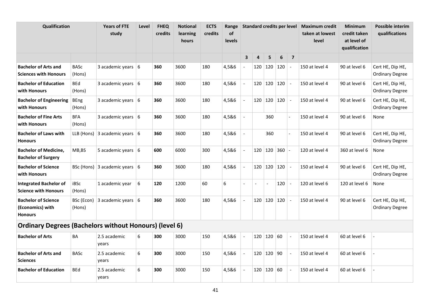| Qualification                                                    |                       | <b>Years of FTE</b><br>study                  | Level | <b>FHEQ</b><br>credits | <b>Notional</b><br>learning<br>hours | <b>ECTS</b><br>credits | Range<br>of<br><b>levels</b> | <b>Standard credits per level</b> |     |                          |                   |                          | <b>Maximum credit</b><br>taken at lowest<br>level | <b>Minimum</b><br>credit taken<br>at level of<br>qualification | <b>Possible interim</b><br>qualifications  |
|------------------------------------------------------------------|-----------------------|-----------------------------------------------|-------|------------------------|--------------------------------------|------------------------|------------------------------|-----------------------------------|-----|--------------------------|-------------------|--------------------------|---------------------------------------------------|----------------------------------------------------------------|--------------------------------------------|
|                                                                  |                       |                                               |       |                        |                                      |                        |                              | $\mathbf{3}$                      | 4   | 5                        | $\boldsymbol{6}$  | $\overline{\mathbf{z}}$  |                                                   |                                                                |                                            |
| <b>Bachelor of Arts and</b><br><b>Sciences with Honours</b>      | <b>BASc</b><br>(Hons) | 3 academic years $ 6$                         |       | 360                    | 3600                                 | 180                    | 4,5&6                        |                                   |     |                          | 120   120   120   |                          | 150 at level 4                                    | 90 at level 6                                                  | Cert HE, Dip HE,<br><b>Ordinary Degree</b> |
| <b>Bachelor of Education</b><br>with Honours                     | <b>BEd</b><br>(Hons)  | 3 academic years $\vert 6 \vert$              |       | 360                    | 3600                                 | 180                    | 4,5&6                        |                                   |     | $120$   120              | 120               |                          | 150 at level 4                                    | 90 at level 6                                                  | Cert HE, Dip HE,<br><b>Ordinary Degree</b> |
| <b>Bachelor of Engineering</b><br>with Honours                   | <b>BEng</b><br>(Hons) | 3 academic years $\vert 6 \vert$              |       | 360                    | 3600                                 | 180                    | 4,5&6                        |                                   | 120 |                          | 120 120           | $\overline{\phantom{a}}$ | 150 at level 4                                    | 90 at level 6                                                  | Cert HE, Dip HE,<br><b>Ordinary Degree</b> |
| <b>Bachelor of Fine Arts</b><br>with Honours                     | <b>BFA</b><br>(Hons)  | 3 academic years $ 6$                         |       | 360                    | 3600                                 | 180                    | 4,5&6                        | $\overline{\phantom{a}}$          |     | 360                      |                   |                          | 150 at level 4                                    | 90 at level 6                                                  | None                                       |
| <b>Bachelor of Laws with</b><br><b>Honours</b>                   | LLB (Hons)            | 3 academic years $ 6 $                        |       | 360                    | 3600                                 | 180                    | 4,5&6                        |                                   |     | 360                      |                   |                          | 150 at level 4                                    | 90 at level 6                                                  | Cert HE, Dip HE,<br><b>Ordinary Degree</b> |
| <b>Bachelor of Medicine,</b><br><b>Bachelor of Surgery</b>       | MB,BS                 | 5 academic years $6$                          |       | 600                    | 6000                                 | 300                    | 4,5&6                        |                                   |     |                          | $120$ 120 360     |                          | 120 at level 4                                    | 360 at level 6                                                 | None                                       |
| <b>Bachelor of Science</b><br>with Honours                       |                       | BSc (Hons) 3 academic years $\vert 6 \rangle$ |       | 360                    | 3600                                 | 180                    | 4,5&6                        |                                   |     |                          | $120$   120   120 |                          | 150 at level 4                                    | 90 at level 6                                                  | Cert HE, Dip HE,<br><b>Ordinary Degree</b> |
| <b>Integrated Bachelor of</b><br><b>Science with Honours</b>     | iBSc<br>(Hons)        | 1 academic year                               | 6     | 120                    | 1200                                 | 60                     | 6                            |                                   |     | $\overline{\phantom{a}}$ | 120               | $\overline{\phantom{a}}$ | 120 at level 6                                    | 120 at level 6                                                 | None                                       |
| <b>Bachelor of Science</b><br>(Economics) with<br><b>Honours</b> | BSc (Econ)<br>(Hons)  | 3 academic years $\vert 6 \vert$              |       | 360                    | 3600                                 | 180                    | 4,5&6                        |                                   | 120 |                          | 120 120           | $\overline{\phantom{a}}$ | 150 at level 4                                    | 90 at level 6                                                  | Cert HE, Dip HE,<br><b>Ordinary Degree</b> |
| <b>Ordinary Degrees (Bachelors without Honours) (level 6)</b>    |                       |                                               |       |                        |                                      |                        |                              |                                   |     |                          |                   |                          |                                                   |                                                                |                                            |
| <b>Bachelor of Arts</b>                                          | BA                    | 2.5 academic<br>years                         | 6     | 300                    | 3000                                 | 150                    | 4,5&6                        |                                   |     | $120$ 120 60             |                   |                          | 150 at level 4                                    | 60 at level 6                                                  |                                            |
| <b>Bachelor of Arts and</b><br><b>Sciences</b>                   | <b>BASc</b>           | 2.5 academic<br>years                         | 6     | 300                    | 3000                                 | 150                    | 4,5&6                        |                                   |     | 120   120   90           |                   |                          | 150 at level 4                                    | 60 at level 6                                                  |                                            |
| <b>Bachelor of Education</b>                                     | <b>BEd</b>            | 2.5 academic<br>years                         | 6     | 300                    | 3000                                 | 150                    | 4,5&6                        |                                   | 120 | 120                      | 60                |                          | 150 at level 4                                    | 60 at level 6                                                  |                                            |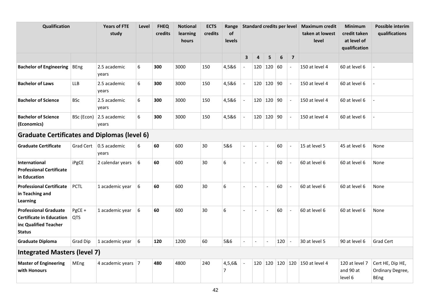| Qualification                                                                                             |                      | <b>Years of FTE</b><br>study | Level | <b>FHEQ</b><br>credits | <b>Notional</b><br>learning<br>hours | <b>ECTS</b><br>credits | Range<br>of<br><b>levels</b> |                          | Standard credits per level |                  |         |                          | <b>Maximum credit</b><br>taken at lowest<br>level | <b>Minimum</b><br>credit taken<br>at level of<br>qualification | <b>Possible interim</b><br>qualifications           |
|-----------------------------------------------------------------------------------------------------------|----------------------|------------------------------|-------|------------------------|--------------------------------------|------------------------|------------------------------|--------------------------|----------------------------|------------------|---------|--------------------------|---------------------------------------------------|----------------------------------------------------------------|-----------------------------------------------------|
|                                                                                                           |                      |                              |       |                        |                                      |                        |                              | $\overline{\mathbf{3}}$  | 4                          | 5 <sub>1</sub>   | 6       | $\overline{7}$           |                                                   |                                                                |                                                     |
| <b>Bachelor of Engineering</b>                                                                            | <b>BEng</b>          | 2.5 academic<br>years        | 6     | 300                    | 3000                                 | 150                    | 4,5&6                        | $\overline{\phantom{a}}$ |                            | $120$   120   60 |         |                          | 150 at level 4                                    | 60 at level 6                                                  |                                                     |
| <b>Bachelor of Laws</b>                                                                                   | <b>LLB</b>           | 2.5 academic<br>years        | 6     | 300                    | 3000                                 | 150                    | 4,5&6                        |                          |                            | $120$   120   90 |         |                          | 150 at level 4                                    | 60 at level 6                                                  |                                                     |
| <b>Bachelor of Science</b>                                                                                | <b>BSc</b>           | 2.5 academic<br>years        | 6     | 300                    | 3000                                 | 150                    | 4,5&6                        |                          | 120                        | 120 90           |         | $\overline{\phantom{a}}$ | 150 at level 4                                    | 60 at level 6                                                  |                                                     |
| <b>Bachelor of Science</b><br>(Economics)                                                                 | BSc (Econ)           | 2.5 academic<br>years        | 6     | 300                    | 3000                                 | 150                    | 4,5&6                        |                          | 120                        | 120 90           |         | $\overline{\phantom{a}}$ | 150 at level 4                                    | 60 at level 6                                                  |                                                     |
| <b>Graduate Certificates and Diplomas (level 6)</b>                                                       |                      |                              |       |                        |                                      |                        |                              |                          |                            |                  |         |                          |                                                   |                                                                |                                                     |
| <b>Graduate Certificate</b>                                                                               | Grad Cert            | 0.5 academic<br>years        | 6     | 60                     | 600                                  | 30                     | 5&6                          |                          |                            |                  | 60      |                          | 15 at level 5                                     | 45 at level 6                                                  | None                                                |
| <b>International</b><br><b>Professional Certificate</b><br>in Education                                   | iPgCE                | 2 calendar years             | 6     | 60                     | 600                                  | 30                     | 6                            | $\overline{a}$           | $\overline{a}$             | $\overline{a}$   | 60      | $\overline{a}$           | 60 at level 6                                     | 60 at level 6                                                  | None                                                |
| <b>Professional Certificate</b><br>in Teaching and<br>Learning                                            | <b>PCTL</b>          | 1 academic year              | 6     | 60                     | 600                                  | 30                     | 6                            | $\blacksquare$           | Ĭ.                         |                  | 60      | $\overline{\phantom{a}}$ | 60 at level 6                                     | 60 at level 6                                                  | None                                                |
| <b>Professional Graduate</b><br><b>Certificate in Education</b><br>inc Qualified Teacher<br><b>Status</b> | PgCE +<br><b>QTS</b> | 1 academic year              | 6     | 60                     | 600                                  | 30                     | 6                            | $\overline{\phantom{a}}$ | $\overline{\phantom{a}}$   | $\overline{a}$   | 60      | $\overline{\phantom{a}}$ | 60 at level 6                                     | 60 at level 6                                                  | None                                                |
| <b>Graduate Diploma</b>                                                                                   | <b>Grad Dip</b>      | 1 academic year              | 6     | 120                    | 1200                                 | 60                     | 5&6                          | $\overline{a}$           | $\overline{a}$             | $\overline{a}$   | 120     | $\overline{\phantom{a}}$ | 30 at level 5                                     | 90 at level 6                                                  | Grad Cert                                           |
| <b>Integrated Masters (level 7)</b>                                                                       |                      |                              |       |                        |                                      |                        |                              |                          |                            |                  |         |                          |                                                   |                                                                |                                                     |
| <b>Master of Engineering</b><br>with Honours                                                              | <b>MEng</b>          | 4 academic years   7         |       | 480                    | 4800                                 | 240                    | 4,5,6&<br>7                  |                          | 120                        |                  | 120 120 |                          | 120 150 at level 4                                | 120 at level 7<br>and 90 at<br>level 6                         | Cert HE, Dip HE,<br>Ordinary Degree,<br><b>BEng</b> |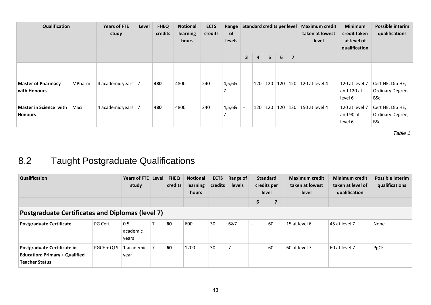| Qualification                             |               | <b>Years of FTE</b><br>study | Level | <b>FHEQ</b><br>credits | <b>Notional</b><br>learning<br>hours | <b>ECTS</b><br>credits | Range<br><b>of</b><br>levels |                         | Standard credits per level |                     |     |                | <b>Maximum credit</b><br>taken at lowest<br>level | <b>Minimum</b><br>credit taken<br>at level of<br>qualification | Possible interim<br>qualifications                 |
|-------------------------------------------|---------------|------------------------------|-------|------------------------|--------------------------------------|------------------------|------------------------------|-------------------------|----------------------------|---------------------|-----|----------------|---------------------------------------------------|----------------------------------------------------------------|----------------------------------------------------|
|                                           |               |                              |       |                        |                                      |                        |                              | $\overline{\mathbf{3}}$ | $\overline{4}$             | 5 <sup>1</sup>      | 6   | $\overline{7}$ |                                                   |                                                                |                                                    |
|                                           |               |                              |       |                        |                                      |                        |                              |                         |                            |                     |     |                |                                                   |                                                                |                                                    |
| <b>Master of Pharmacy</b><br>with Honours | <b>MPharm</b> | 4 academic years             |       | 480                    | 4800                                 | 240                    | 4,5,6&                       |                         | 120                        | 120                 | 120 |                | $120 \mid 120$ at level 4                         | 120 at level 7<br>and 120 at<br>level 6                        | Cert HE, Dip HE,<br>Ordinary Degree,<br><b>BSc</b> |
| Master in Science with<br><b>Honours</b>  | MSci          | 4 academic years             | -7    | 480                    | 4800                                 | 240                    | 4,5,6&                       |                         | 120                        | $\vert$ 120 $\vert$ | 120 |                | 120   150 at level 4                              | 120 at level 7<br>and 90 at<br>level 6                         | Cert HE, Dip HE,<br>Ordinary Degree,<br><b>BSc</b> |

#### Taught Postgraduate Qualifications  $8.2$

<span id="page-42-0"></span>

| Qualification                                                                                 |            | Years of FTE Level<br>study |  | <b>FHEQ</b><br>credits | <b>Notional</b><br>learning<br>hours | <b>ECTS</b><br>credits | Range of<br>levels |                                | <b>Standard</b><br>credits per<br>level | <b>Maximum credit</b><br>taken at lowest<br>level | <b>Minimum credit</b><br>taken at level of<br>qualification | <b>Possible interim</b><br>qualifications |
|-----------------------------------------------------------------------------------------------|------------|-----------------------------|--|------------------------|--------------------------------------|------------------------|--------------------|--------------------------------|-----------------------------------------|---------------------------------------------------|-------------------------------------------------------------|-------------------------------------------|
|                                                                                               |            |                             |  |                        |                                      |                        |                    | 6                              | $\overline{\phantom{a}}$                |                                                   |                                                             |                                           |
| <b>Postgraduate Certificates and Diplomas (level 7)</b>                                       |            |                             |  |                        |                                      |                        |                    |                                |                                         |                                                   |                                                             |                                           |
| <b>Postgraduate Certificate</b>                                                               | PG Cert    | 0.5<br>academic<br>years    |  | 60                     | 600                                  | 30                     | 6&7                | $\overline{a}$                 | 60                                      | 15 at level 6                                     | 45 at level 7                                               | None                                      |
| Postgraduate Certificate in<br><b>Education: Primary + Qualified</b><br><b>Teacher Status</b> | PGCE + QTS | 1 academic<br>year          |  | 60                     | 1200                                 | 30                     |                    | 60<br>$\overline{\phantom{0}}$ |                                         | 60 at level 7                                     | 60 at level 7                                               | PgCE                                      |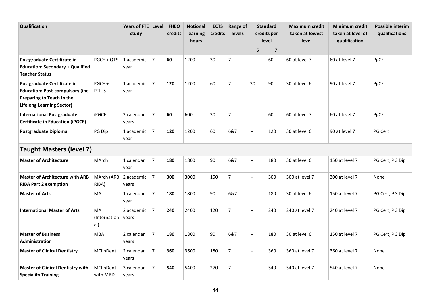| Qualification                                                                                                                          |                           | Years of FTE Level<br>study |                | <b>FHEQ</b><br>credits | <b>Notional</b><br>learning<br>hours | <b>ECTS</b><br>credits | Range of<br>levels | <b>Standard</b><br>credits per<br><b>level</b> |                         | <b>Maximum credit</b><br>taken at lowest<br>level | <b>Minimum credit</b><br>taken at level of<br>qualification | Possible interim<br>qualifications |
|----------------------------------------------------------------------------------------------------------------------------------------|---------------------------|-----------------------------|----------------|------------------------|--------------------------------------|------------------------|--------------------|------------------------------------------------|-------------------------|---------------------------------------------------|-------------------------------------------------------------|------------------------------------|
|                                                                                                                                        |                           |                             |                |                        |                                      |                        |                    | 6                                              | $\overline{\mathbf{z}}$ |                                                   |                                                             |                                    |
| Postgraduate Certificate in<br><b>Education: Secondary + Qualified</b><br><b>Teacher Status</b>                                        | PGCE + OTS                | 1 academic<br>year          | $\overline{7}$ | 60                     | 1200                                 | 30                     | $\overline{7}$     | $\overline{\phantom{a}}$                       | 60                      | 60 at level 7                                     | 60 at level 7                                               | PgCE                               |
| Postgraduate Certificate in<br><b>Education: Post-compulsory (inc</b><br>Preparing to Teach in the<br><b>Lifelong Learning Sector)</b> | PGCE +<br><b>PTLLS</b>    | 1 academic<br>year          | $\overline{7}$ | 120                    | 1200                                 | 60                     | $\overline{7}$     | 30                                             | 90                      | 30 at level 6                                     | 90 at level 7                                               | PgCE                               |
| <b>International Postgraduate</b><br><b>Certificate in Education (iPGCE)</b>                                                           | <b>iPGCE</b>              | 2 calendar<br>years         | $\overline{7}$ | 60                     | 600                                  | 30                     | $\overline{7}$     | $\overline{a}$                                 | 60                      | 60 at level 7                                     | 60 at level 7                                               | PgCE                               |
| Postgraduate Diploma                                                                                                                   | PG Dip                    | 1 academic<br>year          | 7              | 120                    | 1200                                 | 60                     | 6&7                | $\overline{\phantom{a}}$                       | 120                     | 30 at level 6                                     | 90 at level 7                                               | PG Cert                            |
| <b>Taught Masters (level 7)</b>                                                                                                        |                           |                             |                |                        |                                      |                        |                    |                                                |                         |                                                   |                                                             |                                    |
| <b>Master of Architecture</b>                                                                                                          | MArch                     | 1 calendar<br>year          | $\overline{7}$ | 180                    | 1800                                 | 90                     | 6&7                | $\overline{a}$                                 | 180                     | 30 at level 6                                     | 150 at level 7                                              | PG Cert, PG Dip                    |
| <b>Master of Architecture with ARB</b><br><b>RIBA Part 2 exemption</b>                                                                 | MArch (ARB<br>RIBA)       | 2 academic<br>years         | $\overline{7}$ | 300                    | 3000                                 | 150                    | $\overline{7}$     | $\overline{a}$                                 | 300                     | 300 at level 7                                    | 300 at level 7                                              | None                               |
| <b>Master of Arts</b>                                                                                                                  | MA                        | 1 calendar<br>year          | $\overline{7}$ | 180                    | 1800                                 | 90                     | 6&7                | $\overline{a}$                                 | 180                     | 30 at level 6                                     | 150 at level 7                                              | PG Cert, PG Dip                    |
| <b>International Master of Arts</b>                                                                                                    | MA<br>(Internation<br>al) | 2 academic<br>years         | $\overline{7}$ | 240                    | 2400                                 | 120                    | $\overline{7}$     | $\overline{a}$                                 | 240                     | 240 at level 7                                    | 240 at level 7                                              | PG Cert, PG Dip                    |
| <b>Master of Business</b><br>Administration                                                                                            | <b>MBA</b>                | 2 calendar<br>years         | $\overline{7}$ | 180                    | 1800                                 | 90                     | 6&7                | $\overline{a}$                                 | 180                     | 30 at level 6                                     | 150 at level 7                                              | PG Cert, PG Dip                    |
| <b>Master of Clinical Dentistry</b>                                                                                                    | MClinDent                 | 2 calendar<br>years         | $\overline{7}$ | 360                    | 3600                                 | 180                    | $\overline{7}$     | $\frac{1}{2}$                                  | 360                     | 360 at level 7                                    | 360 at level 7                                              | None                               |
| <b>Master of Clinical Dentistry with</b><br><b>Speciality Training</b>                                                                 | MClinDent<br>with MRD     | 3 calendar<br>years         | $\overline{7}$ | 540                    | 5400                                 | 270                    | $\overline{7}$     | $\overline{a}$                                 | 540                     | 540 at level 7                                    | 540 at level 7                                              | None                               |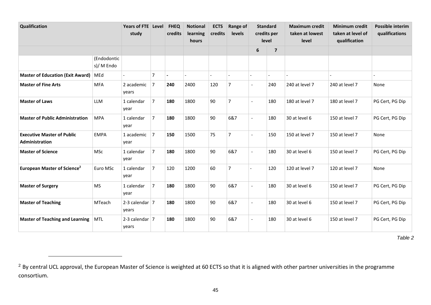| Qualification                                       |                           | Years of FTE Level<br>study |                | <b>FHEQ</b><br>credits | <b>Notional</b><br>learning<br>hours | <b>ECTS</b><br>credits | Range of<br>levels |                          | <b>Standard</b><br>credits per<br>level | <b>Maximum credit</b><br>taken at lowest<br>level | <b>Minimum credit</b><br>taken at level of<br>qualification | <b>Possible interim</b><br>qualifications |
|-----------------------------------------------------|---------------------------|-----------------------------|----------------|------------------------|--------------------------------------|------------------------|--------------------|--------------------------|-----------------------------------------|---------------------------------------------------|-------------------------------------------------------------|-------------------------------------------|
|                                                     |                           |                             |                |                        |                                      |                        |                    | 6                        | $\overline{7}$                          |                                                   |                                                             |                                           |
|                                                     | (Endodontic<br>s)/ M Endo |                             |                |                        |                                      |                        |                    |                          |                                         |                                                   |                                                             |                                           |
| <b>Master of Education (Exit Award)</b>             | MEd                       |                             | $\overline{7}$ |                        |                                      |                        |                    |                          |                                         |                                                   |                                                             |                                           |
| <b>Master of Fine Arts</b>                          | <b>MFA</b>                | 2 academic<br>years         | $\overline{7}$ | 240                    | 2400                                 | 120                    | $\overline{7}$     | $\blacksquare$           | 240                                     | 240 at level 7                                    | 240 at level 7                                              | None                                      |
| <b>Master of Laws</b>                               | <b>LLM</b>                | 1 calendar<br>year          | $\overline{7}$ | 180                    | 1800                                 | 90                     | $\overline{7}$     | $\overline{a}$           | 180                                     | 180 at level 7                                    | 180 at level 7                                              | PG Cert, PG Dip                           |
| <b>Master of Public Administration</b>              | <b>MPA</b>                | 1 calendar<br>year          | $\overline{7}$ | 180                    | 1800                                 | 90                     | 6&7                | $\blacksquare$           | 180                                     | 30 at level 6                                     | 150 at level 7                                              | PG Cert, PG Dip                           |
| <b>Executive Master of Public</b><br>Administration | <b>EMPA</b>               | 1 academic<br>year          | $\overline{7}$ | 150                    | 1500                                 | 75                     | $\overline{7}$     | $\blacksquare$           | 150                                     | 150 at level 7                                    | 150 at level 7                                              | None                                      |
| <b>Master of Science</b>                            | <b>MSc</b>                | 1 calendar<br>year          | $\overline{7}$ | 180                    | 1800                                 | 90                     | 6&7                | $\overline{\phantom{a}}$ | 180                                     | 30 at level 6                                     | 150 at level 7                                              | PG Cert, PG Dip                           |
| European Master of Science <sup>2</sup>             | Euro MSc                  | 1 calendar<br>year          | $\overline{7}$ | 120                    | 1200                                 | 60                     | $\overline{7}$     |                          | 120                                     | 120 at level 7                                    | 120 at level 7                                              | None                                      |
| <b>Master of Surgery</b>                            | <b>MS</b>                 | 1 calendar<br>year          | $\overline{7}$ | 180                    | 1800                                 | 90                     | 6&7                | $\blacksquare$           | 180                                     | 30 at level 6                                     | 150 at level 7                                              | PG Cert, PG Dip                           |
| <b>Master of Teaching</b>                           | MTeach                    | 2-3 calendar $ 7 $<br>years |                | 180                    | 1800                                 | 90                     | 6&7                | $\blacksquare$           | 180                                     | 30 at level 6                                     | 150 at level 7                                              | PG Cert, PG Dip                           |
| <b>Master of Teaching and Learning</b>              | MTL                       | 2-3 calendar $ 7$<br>years  |                | 180                    | 1800                                 | 90                     | 6&7                | $\blacksquare$           | 180                                     | 30 at level 6                                     | 150 at level 7                                              | PG Cert, PG Dip                           |

<u>.</u>

<sup>&</sup>lt;sup>2</sup> By central UCL approval, the European Master of Science is weighted at 60 ECTS so that it is aligned with other partner universities in the programme consortium.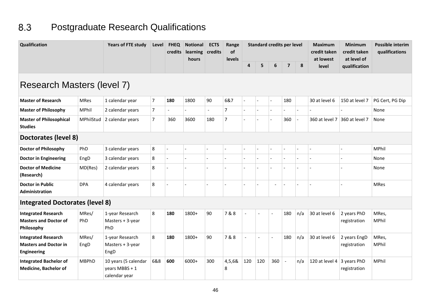#### 8.3 Postgraduate Research Qualifications

<span id="page-45-0"></span>

| Qualification                                                                    |               | <b>Years of FTE study</b>                               | Level          | <b>FHEQ</b><br>credits | <b>Notional</b><br>learning<br>hours | <b>ECTS</b><br>credits | Range<br>of<br>levels |                          |     | <b>Standard credits per level</b> |                          |     | <b>Minimum</b><br>credit taken<br>credit taken<br>at level of | <b>Possible interim</b><br>qualifications |                       |
|----------------------------------------------------------------------------------|---------------|---------------------------------------------------------|----------------|------------------------|--------------------------------------|------------------------|-----------------------|--------------------------|-----|-----------------------------------|--------------------------|-----|---------------------------------------------------------------|-------------------------------------------|-----------------------|
|                                                                                  |               |                                                         |                |                        |                                      |                        |                       | 4                        | 5   | 6                                 | $\overline{\mathbf{z}}$  | 8   | at lowest<br><b>level</b>                                     | qualification                             |                       |
| Research Masters (level 7)                                                       |               |                                                         |                |                        |                                      |                        |                       |                          |     |                                   |                          |     |                                                               |                                           |                       |
| <b>Master of Research</b>                                                        | <b>MRes</b>   | 1 calendar year                                         | $\overline{7}$ | 180                    | 1800                                 | 90                     | 6&7                   | $\overline{a}$           |     | $\overline{a}$                    | 180                      |     | 30 at level 6                                                 | 150 at level 7                            | PG Cert, PG Dip       |
| <b>Master of Philosophy</b>                                                      | MPhil         | 2 calendar years                                        | $\overline{7}$ | $\overline{a}$         |                                      | $\overline{a}$         | $\overline{7}$        |                          |     | $\overline{a}$                    |                          |     |                                                               |                                           | None                  |
| <b>Master of Philosophical</b><br><b>Studies</b>                                 | MPhilStud     | 2 calendar years                                        | $\overline{7}$ | 360                    | 3600                                 | 180                    | 7                     |                          |     |                                   | 360                      |     | 360 at level 7                                                | 360 at level 7                            | None                  |
| Doctorates (level 8)                                                             |               |                                                         |                |                        |                                      |                        |                       |                          |     |                                   |                          |     |                                                               |                                           |                       |
| <b>Doctor of Philosophy</b>                                                      | PhD           | 3 calendar years                                        | 8              |                        | $\overline{a}$                       |                        |                       | $\overline{\phantom{a}}$ |     | $\overline{a}$                    | $\overline{a}$           |     |                                                               |                                           | MPhil                 |
| <b>Doctor in Engineering</b>                                                     | EngD          | 3 calendar years                                        | 8              |                        |                                      |                        |                       |                          |     | $\overline{a}$                    |                          |     |                                                               |                                           | None                  |
| <b>Doctor of Medicine</b><br>(Research)                                          | MD(Res)       | 2 calendar years                                        | 8              |                        |                                      |                        |                       |                          |     |                                   |                          |     |                                                               |                                           | None                  |
| <b>Doctor in Public</b><br>Administration                                        | <b>DPA</b>    | 4 calendar years                                        | 8              |                        |                                      |                        |                       |                          |     | $\overline{\phantom{a}}$          | $\overline{\phantom{a}}$ |     |                                                               |                                           | <b>MRes</b>           |
| <b>Integrated Doctorates (level 8)</b>                                           |               |                                                         |                |                        |                                      |                        |                       |                          |     |                                   |                          |     |                                                               |                                           |                       |
| <b>Integrated Research</b><br><b>Masters and Doctor of</b><br>Philosophy         | MRes/<br>PhD  | 1-year Research<br>Masters + 3-year<br>PhD              | 8              | 180                    | 1800+                                | 90                     | 7&8                   | $\overline{\phantom{a}}$ |     | $\sim$                            | 180                      | n/a | 30 at level 6                                                 | 2 years PhD<br>registration               | MRes,<br><b>MPhil</b> |
| <b>Integrated Research</b><br><b>Masters and Doctor in</b><br><b>Engineering</b> | MRes/<br>EngD | 1-year Research<br>Masters + 3-year<br>EngD             | 8              | 180                    | 1800+                                | 90                     | 7&8                   | $\overline{\phantom{a}}$ |     | $\sim$                            | 180                      | n/a | 30 at level 6                                                 | 2 years EngD<br>registration              | MRes,<br>MPhil        |
| <b>Integrated Bachelor of</b><br><b>Medicine, Bachelor of</b>                    | <b>MBPhD</b>  | 10 years (5 calendar<br>years MBBS + 1<br>calendar year | 6&8            | 600                    | 6000+                                | 300                    | 4,5,6&<br>8           | 120                      | 120 | 360                               | $\overline{\phantom{a}}$ | n/a | 120 at level 4                                                | 3 years PhD<br>registration               | MPhil                 |